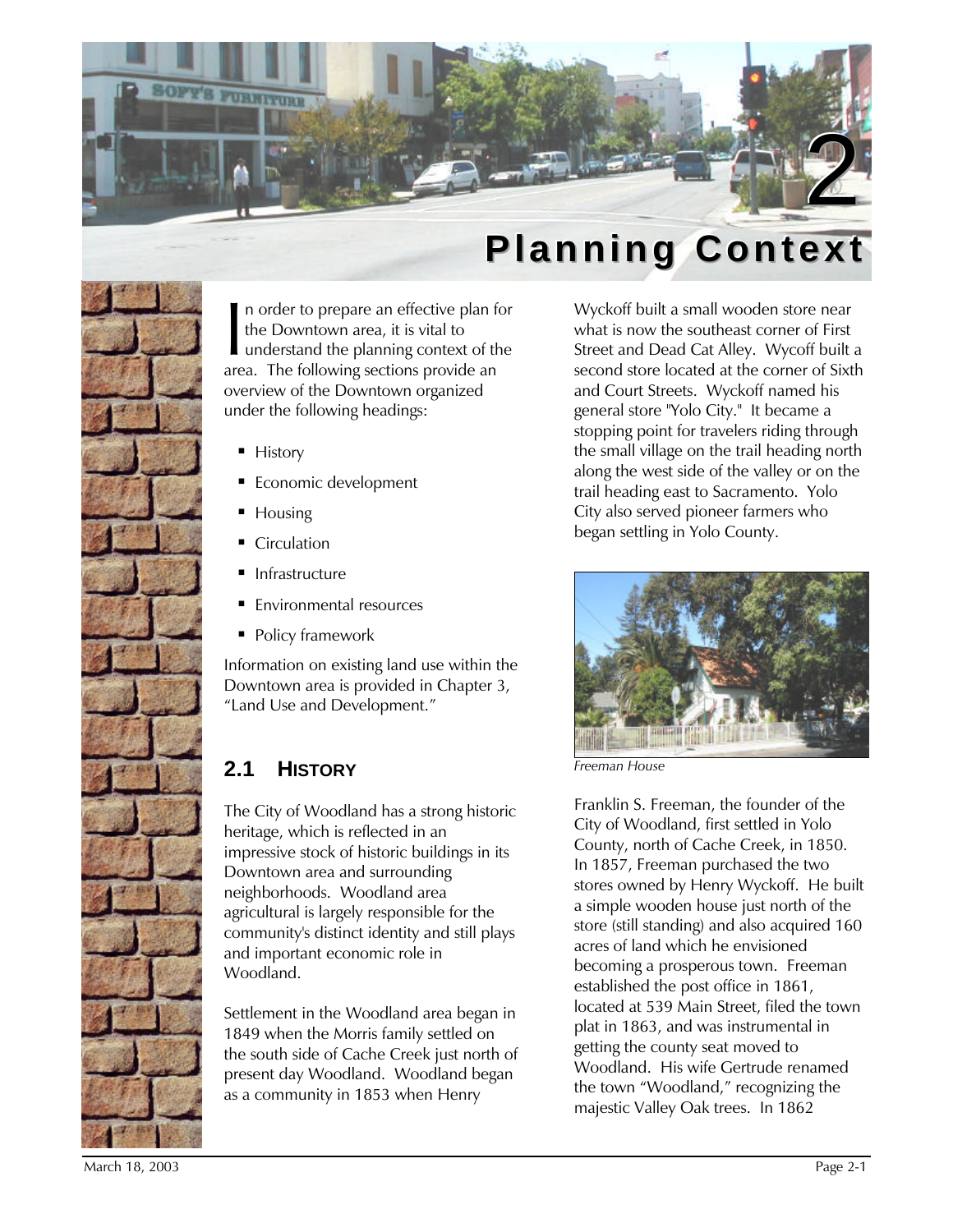



n order to prepare an effective plan for the Downtown area, it is vital to understand the planning context of the area. The following sections provide an overview of the Downtown organized under the following headings:  $\prod_{\text{area}}$ 

- History
- **Economic development**
- Housing
- Circulation
- **Infrastructure**
- **Environmental resources**
- **Policy framework**

Information on existing land use within the Downtown area is provided in Chapter 3, "Land Use and Development."

# **2.1 HISTORY**

The City of Woodland has a strong historic heritage, which is reflected in an impressive stock of historic buildings in its Downtown area and surrounding neighborhoods. Woodland area agricultural is largely responsible for the community's distinct identity and still plays and important economic role in Woodland.

Settlement in the Woodland area began in 1849 when the Morris family settled on the south side of Cache Creek just north of present day Woodland. Woodland began as a community in 1853 when Henry

Wyckoff built a small wooden store near what is now the southeast corner of First Street and Dead Cat Alley. Wycoff built a second store located at the corner of Sixth and Court Streets. Wyckoff named his general store "Yolo City." It became a stopping point for travelers riding through the small village on the trail heading north along the west side of the valley or on the trail heading east to Sacramento. Yolo City also served pioneer farmers who began settling in Yolo County.



*Freeman House*

Franklin S. Freeman, the founder of the City of Woodland, first settled in Yolo County, north of Cache Creek, in 1850. In 1857, Freeman purchased the two stores owned by Henry Wyckoff. He built a simple wooden house just north of the store (still standing) and also acquired 160 acres of land which he envisioned becoming a prosperous town. Freeman established the post office in 1861, located at 539 Main Street, filed the town plat in 1863, and was instrumental in getting the county seat moved to Woodland. His wife Gertrude renamed the town "Woodland," recognizing the majestic Valley Oak trees. In 1862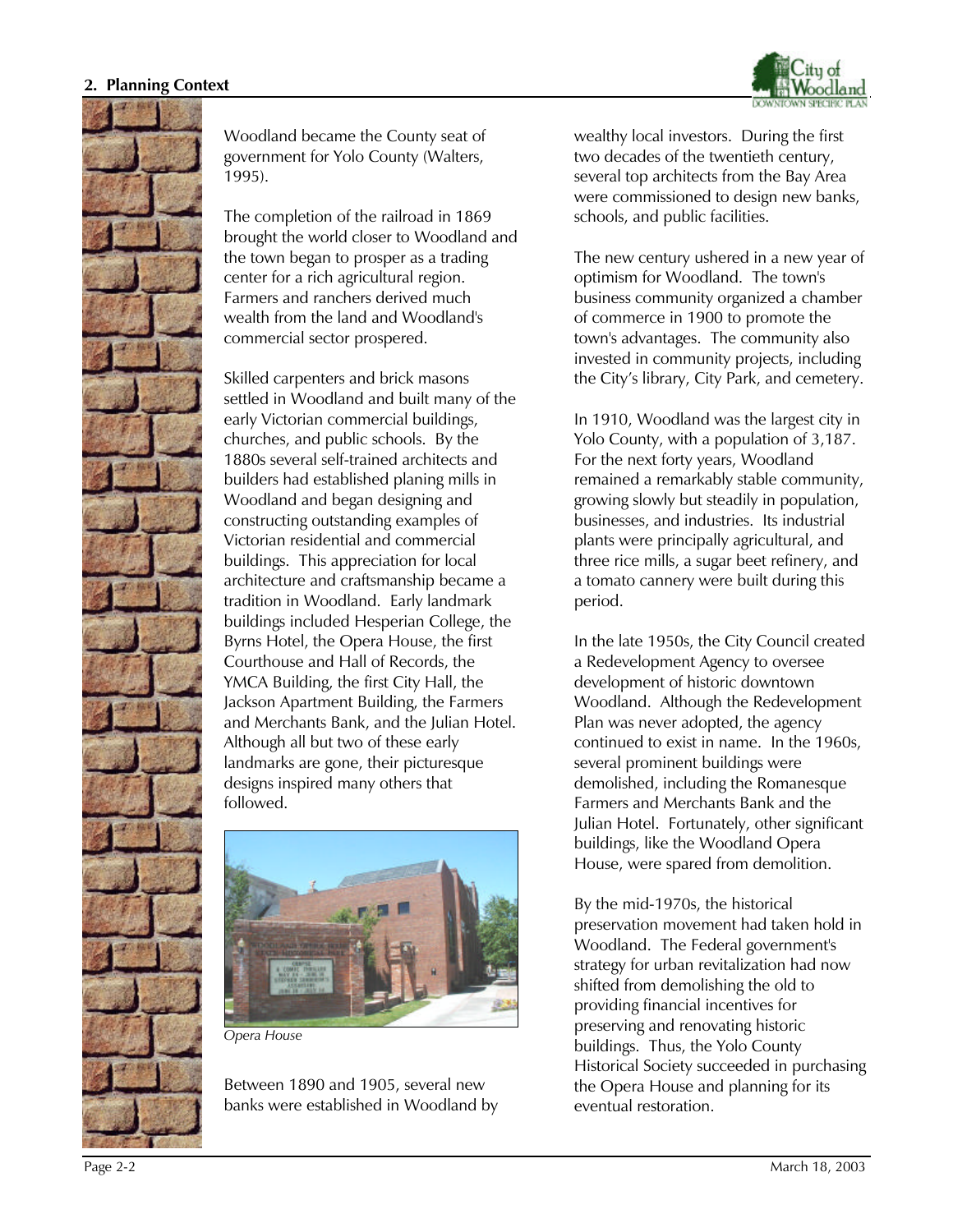



Woodland became the County seat of government for Yolo County (Walters, 1995).

The completion of the railroad in 1869 brought the world closer to Woodland and the town began to prosper as a trading center for a rich agricultural region. Farmers and ranchers derived much wealth from the land and Woodland's commercial sector prospered.

Skilled carpenters and brick masons settled in Woodland and built many of the early Victorian commercial buildings, churches, and public schools. By the 1880s several self-trained architects and builders had established planing mills in Woodland and began designing and constructing outstanding examples of Victorian residential and commercial buildings. This appreciation for local architecture and craftsmanship became a tradition in Woodland. Early landmark buildings included Hesperian College, the Byrns Hotel, the Opera House, the first Courthouse and Hall of Records, the YMCA Building, the first City Hall, the Jackson Apartment Building, the Farmers and Merchants Bank, and the Julian Hotel. Although all but two of these early landmarks are gone, their picturesque designs inspired many others that followed.



*Opera House*

Between 1890 and 1905, several new banks were established in Woodland by

wealthy local investors. During the first two decades of the twentieth century, several top architects from the Bay Area were commissioned to design new banks, schools, and public facilities.

The new century ushered in a new year of optimism for Woodland. The town's business community organized a chamber of commerce in 1900 to promote the town's advantages. The community also invested in community projects, including the City's library, City Park, and cemetery.

In 1910, Woodland was the largest city in Yolo County, with a population of 3,187. For the next forty years, Woodland remained a remarkably stable community, growing slowly but steadily in population, businesses, and industries. Its industrial plants were principally agricultural, and three rice mills, a sugar beet refinery, and a tomato cannery were built during this period.

In the late 1950s, the City Council created a Redevelopment Agency to oversee development of historic downtown Woodland. Although the Redevelopment Plan was never adopted, the agency continued to exist in name. In the 1960s, several prominent buildings were demolished, including the Romanesque Farmers and Merchants Bank and the Julian Hotel. Fortunately, other significant buildings, like the Woodland Opera House, were spared from demolition.

By the mid-1970s, the historical preservation movement had taken hold in Woodland. The Federal government's strategy for urban revitalization had now shifted from demolishing the old to providing financial incentives for preserving and renovating historic buildings. Thus, the Yolo County Historical Society succeeded in purchasing the Opera House and planning for its eventual restoration.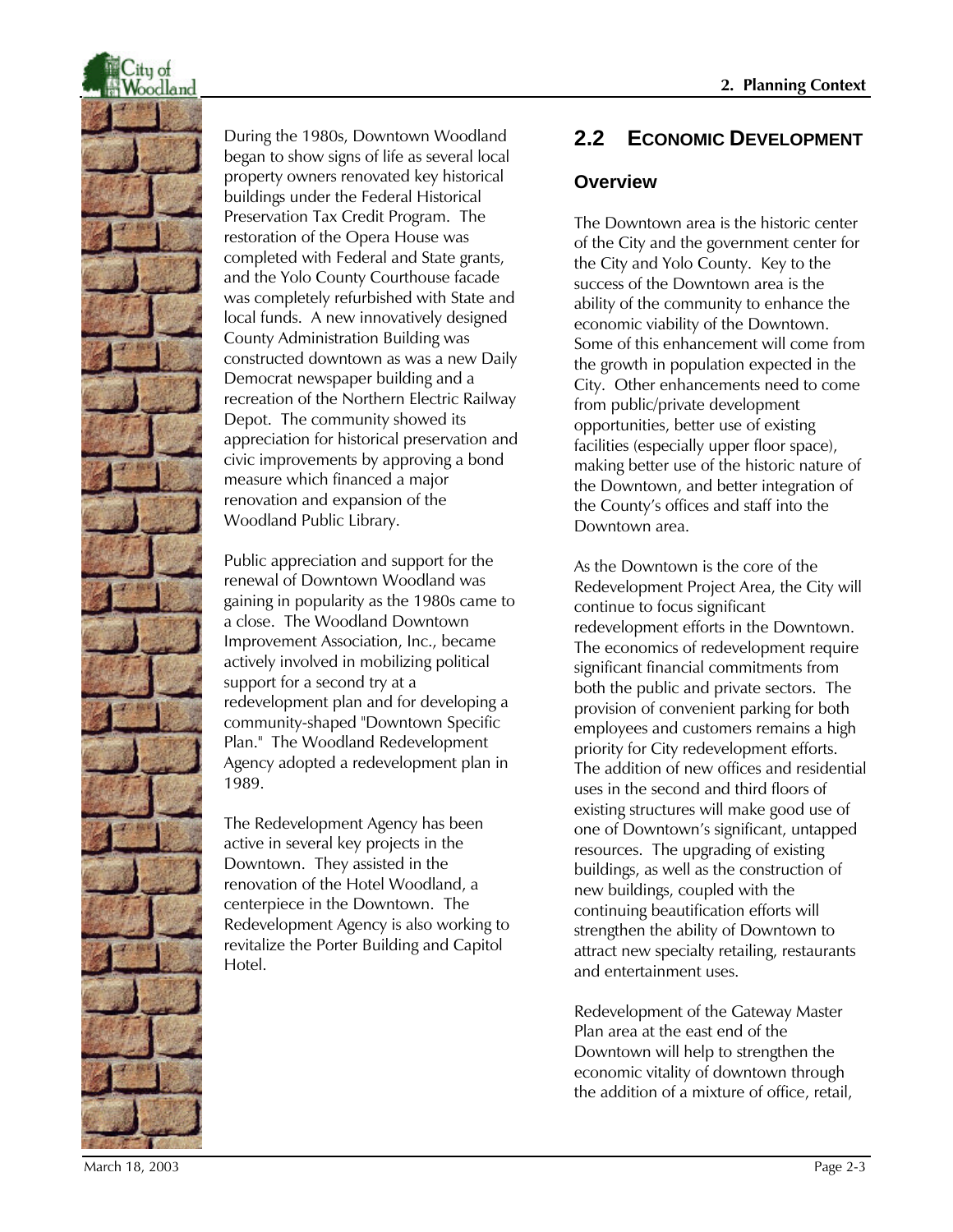

During the 1980s, Downtown Woodland began to show signs of life as several local property owners renovated key historical buildings under the Federal Historical Preservation Tax Credit Program. The restoration of the Opera House was completed with Federal and State grants, and the Yolo County Courthouse facade was completely refurbished with State and local funds. A new innovatively designed County Administration Building was constructed downtown as was a new Daily Democrat newspaper building and a recreation of the Northern Electric Railway Depot. The community showed its appreciation for historical preservation and civic improvements by approving a bond measure which financed a major renovation and expansion of the Woodland Public Library.

Public appreciation and support for the renewal of Downtown Woodland was gaining in popularity as the 1980s came to a close. The Woodland Downtown Improvement Association, Inc., became actively involved in mobilizing political support for a second try at a redevelopment plan and for developing a community-shaped "Downtown Specific Plan." The Woodland Redevelopment Agency adopted a redevelopment plan in 1989.

The Redevelopment Agency has been active in several key projects in the Downtown. They assisted in the renovation of the Hotel Woodland, a centerpiece in the Downtown. The Redevelopment Agency is also working to revitalize the Porter Building and Capitol Hotel.

# **2.2 ECONOMIC DEVELOPMENT**

#### **Overview**

The Downtown area is the historic center of the City and the government center for the City and Yolo County. Key to the success of the Downtown area is the ability of the community to enhance the economic viability of the Downtown. Some of this enhancement will come from the growth in population expected in the City. Other enhancements need to come from public/private development opportunities, better use of existing facilities (especially upper floor space), making better use of the historic nature of the Downtown, and better integration of the County's offices and staff into the Downtown area.

As the Downtown is the core of the Redevelopment Project Area, the City will continue to focus significant redevelopment efforts in the Downtown. The economics of redevelopment require significant financial commitments from both the public and private sectors. The provision of convenient parking for both employees and customers remains a high priority for City redevelopment efforts. The addition of new offices and residential uses in the second and third floors of existing structures will make good use of one of Downtown's significant, untapped resources. The upgrading of existing buildings, as well as the construction of new buildings, coupled with the continuing beautification efforts will strengthen the ability of Downtown to attract new specialty retailing, restaurants and entertainment uses.

Redevelopment of the Gateway Master Plan area at the east end of the Downtown will help to strengthen the economic vitality of downtown through the addition of a mixture of office, retail,

March 18, 2003 Page 2-3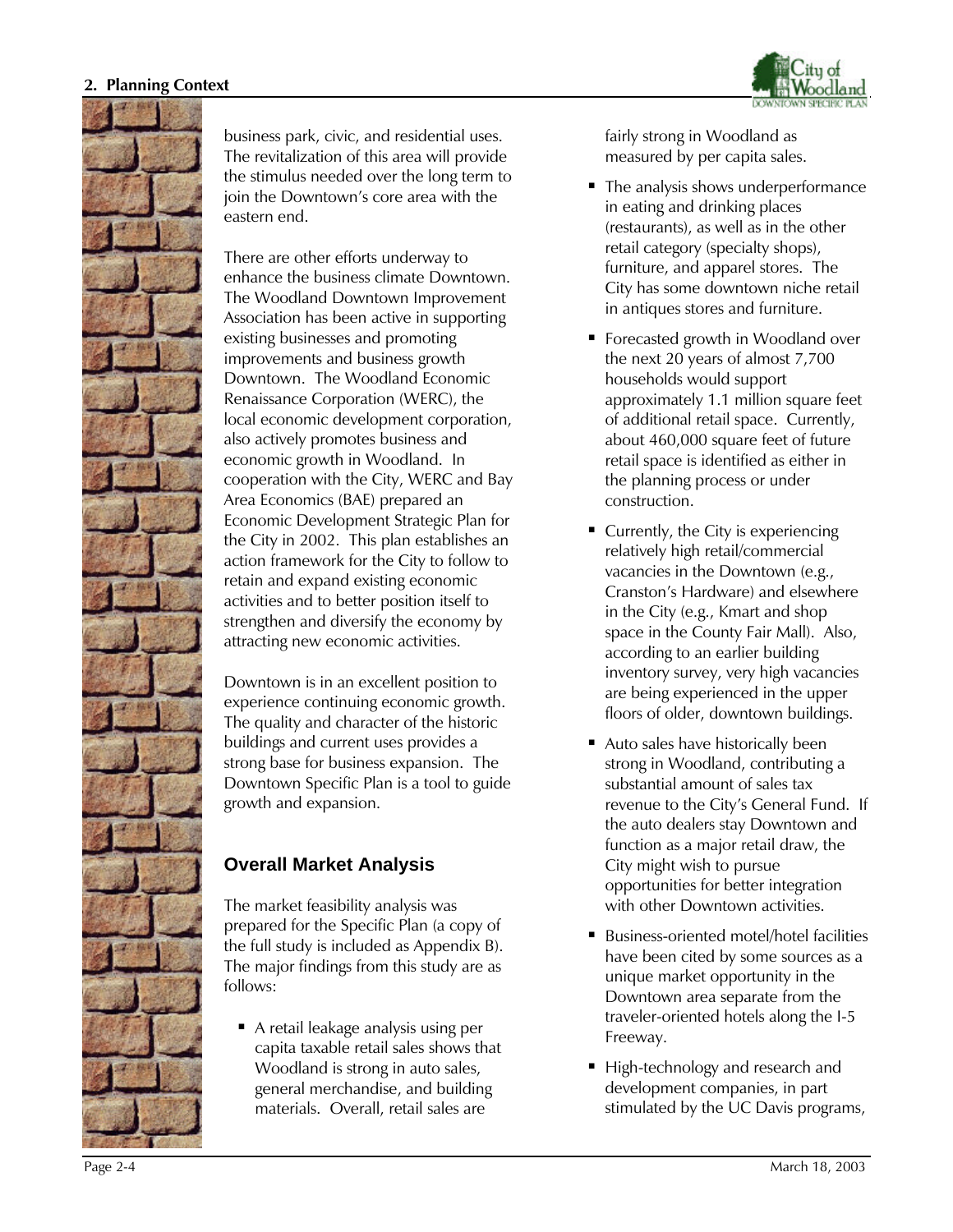

business park, civic, and residential uses. The revitalization of this area will provide the stimulus needed over the long term to join the Downtown's core area with the eastern end.

There are other efforts underway to enhance the business climate Downtown. The Woodland Downtown Improvement Association has been active in supporting existing businesses and promoting improvements and business growth Downtown. The Woodland Economic Renaissance Corporation (WERC), the local economic development corporation, also actively promotes business and economic growth in Woodland. In cooperation with the City, WERC and Bay Area Economics (BAE) prepared an Economic Development Strategic Plan for the City in 2002. This plan establishes an action framework for the City to follow to retain and expand existing economic activities and to better position itself to strengthen and diversify the economy by attracting new economic activities.

Downtown is in an excellent position to experience continuing economic growth. The quality and character of the historic buildings and current uses provides a strong base for business expansion. The Downtown Specific Plan is a tool to guide growth and expansion.

# **Overall Market Analysis**

The market feasibility analysis was prepared for the Specific Plan (a copy of the full study is included as Appendix B). The major findings from this study are as follows:

A retail leakage analysis using per capita taxable retail sales shows that Woodland is strong in auto sales, general merchandise, and building materials. Overall, retail sales are

fairly strong in Woodland as measured by per capita sales.

- The analysis shows underperformance in eating and drinking places (restaurants), as well as in the other retail category (specialty shops), furniture, and apparel stores. The City has some downtown niche retail in antiques stores and furniture.
- **Forecasted growth in Woodland over** the next 20 years of almost 7,700 households would support approximately 1.1 million square feet of additional retail space. Currently, about 460,000 square feet of future retail space is identified as either in the planning process or under construction.
- Currently, the City is experiencing relatively high retail/commercial vacancies in the Downtown (e.g., Cranston's Hardware) and elsewhere in the City (e.g., Kmart and shop space in the County Fair Mall). Also, according to an earlier building inventory survey, very high vacancies are being experienced in the upper floors of older, downtown buildings.
- Auto sales have historically been strong in Woodland, contributing a substantial amount of sales tax revenue to the City's General Fund. If the auto dealers stay Downtown and function as a major retail draw, the City might wish to pursue opportunities for better integration with other Downtown activities.
- Business-oriented motel/hotel facilities have been cited by some sources as a unique market opportunity in the Downtown area separate from the traveler-oriented hotels along the I-5 Freeway.
- High-technology and research and development companies, in part stimulated by the UC Davis programs,

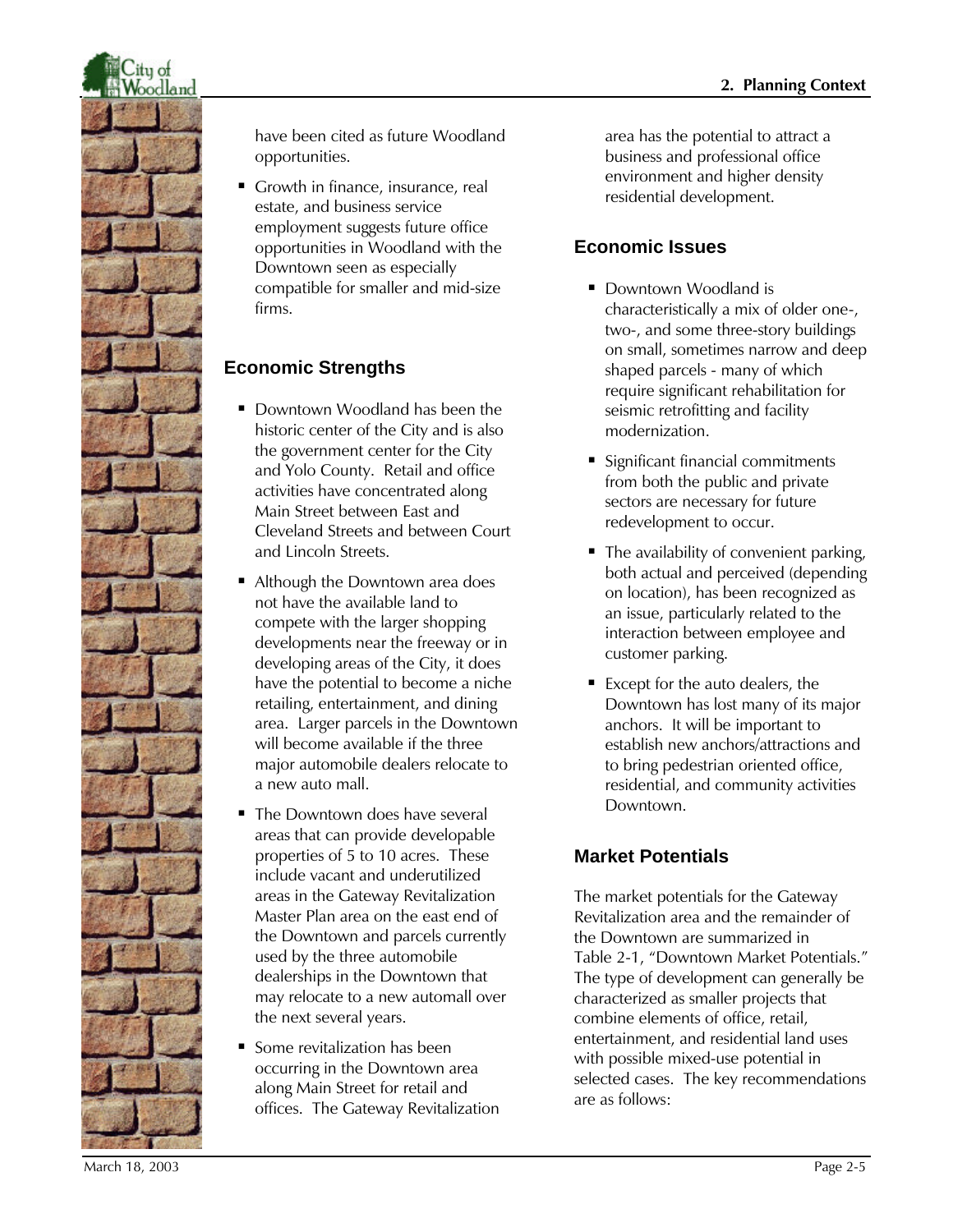

have been cited as future Woodland opportunities.

Growth in finance, insurance, real estate, and business service employment suggests future office opportunities in Woodland with the Downtown seen as especially compatible for smaller and mid-size firms.

# **Economic Strengths**

- Downtown Woodland has been the historic center of the City and is also the government center for the City and Yolo County. Retail and office activities have concentrated along Main Street between East and Cleveland Streets and between Court and Lincoln Streets.
- Although the Downtown area does not have the available land to compete with the larger shopping developments near the freeway or in developing areas of the City, it does have the potential to become a niche retailing, entertainment, and dining area. Larger parcels in the Downtown will become available if the three major automobile dealers relocate to a new auto mall.
- **The Downtown does have several** areas that can provide developable properties of 5 to 10 acres. These include vacant and underutilized areas in the Gateway Revitalization Master Plan area on the east end of the Downtown and parcels currently used by the three automobile dealerships in the Downtown that may relocate to a new automall over the next several years.
- $\blacksquare$  Some revitalization has been occurring in the Downtown area along Main Street for retail and offices. The Gateway Revitalization

area has the potential to attract a business and professional office environment and higher density residential development.

# **Economic Issues**

- Downtown Woodland is characteristically a mix of older one-, two-, and some three-story buildings on small, sometimes narrow and deep shaped parcels - many of which require significant rehabilitation for seismic retrofitting and facility modernization.
- Significant financial commitments from both the public and private sectors are necessary for future redevelopment to occur.
- $\blacksquare$  The availability of convenient parking, both actual and perceived (depending on location), has been recognized as an issue, particularly related to the interaction between employee and customer parking.
- $\blacksquare$  Except for the auto dealers, the Downtown has lost many of its major anchors. It will be important to establish new anchors/attractions and to bring pedestrian oriented office, residential, and community activities Downtown.

# **Market Potentials**

The market potentials for the Gateway Revitalization area and the remainder of the Downtown are summarized in Table 2-1, "Downtown Market Potentials." The type of development can generally be characterized as smaller projects that combine elements of office, retail, entertainment, and residential land uses with possible mixed-use potential in selected cases. The key recommendations are as follows: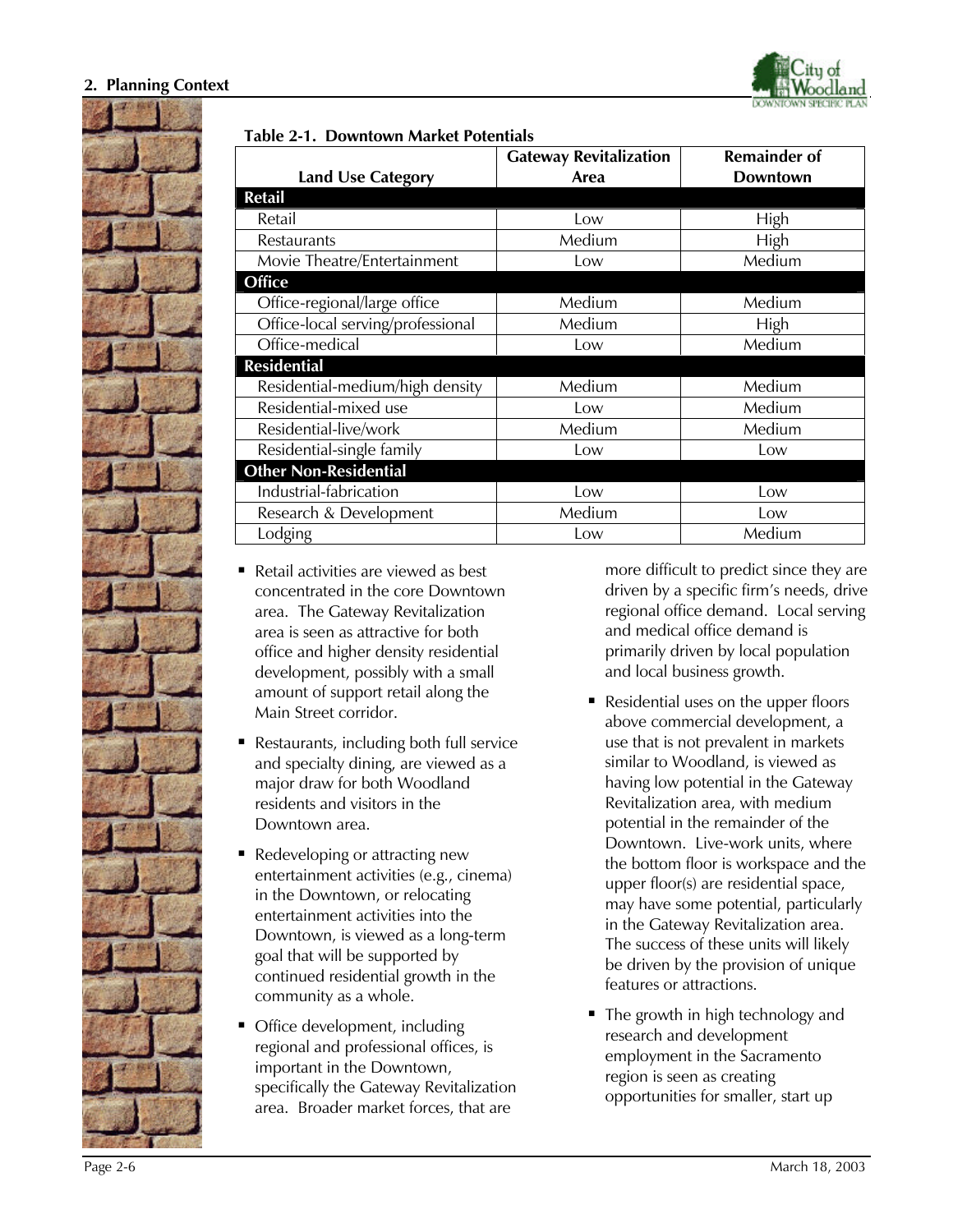



| <b>Land Use Category</b>          | <b>Gateway Revitalization</b><br>Area | <b>Remainder of</b><br><b>Downtown</b> |
|-----------------------------------|---------------------------------------|----------------------------------------|
| Retail                            |                                       |                                        |
| Retail                            | Low                                   | High                                   |
| Restaurants                       | Medium                                | High                                   |
| Movie Theatre/Entertainment       | Low                                   | Medium                                 |
| Office                            |                                       |                                        |
| Office-regional/large office      | Medium                                | Medium                                 |
| Office-local serving/professional | Medium                                | High                                   |
| Office-medical                    | Low                                   | Medium                                 |
| <b>Residential</b>                |                                       |                                        |
| Residential-medium/high density   | Medium                                | Medium                                 |
| Residential-mixed use             | Low                                   | Medium                                 |
| Residential-live/work             | Medium                                | Medium                                 |
| Residential-single family         | Low                                   | Low                                    |
| <b>Other Non-Residential</b>      |                                       |                                        |
| Industrial-fabrication            | Low                                   | Low                                    |
| Research & Development            | Medium                                | Low                                    |
| Lodging                           | Low                                   | Medium                                 |

- Retail activities are viewed as best concentrated in the core Downtown area. The Gateway Revitalization area is seen as attractive for both office and higher density residential development, possibly with a small amount of support retail along the Main Street corridor.
- Restaurants, including both full service and specialty dining, are viewed as a major draw for both Woodland residents and visitors in the Downtown area.
- Redeveloping or attracting new entertainment activities (e.g., cinema) in the Downtown, or relocating entertainment activities into the Downtown, is viewed as a long-term goal that will be supported by continued residential growth in the community as a whole.
- Office development, including regional and professional offices, is important in the Downtown, specifically the Gateway Revitalization area. Broader market forces, that are

more difficult to predict since they are driven by a specific firm's needs, drive regional office demand. Local serving and medical office demand is primarily driven by local population and local business growth.

- Residential uses on the upper floors above commercial development, a use that is not prevalent in markets similar to Woodland, is viewed as having low potential in the Gateway Revitalization area, with medium potential in the remainder of the Downtown. Live-work units, where the bottom floor is workspace and the upper floor(s) are residential space, may have some potential, particularly in the Gateway Revitalization area. The success of these units will likely be driven by the provision of unique features or attractions.
- The growth in high technology and research and development employment in the Sacramento region is seen as creating opportunities for smaller, start up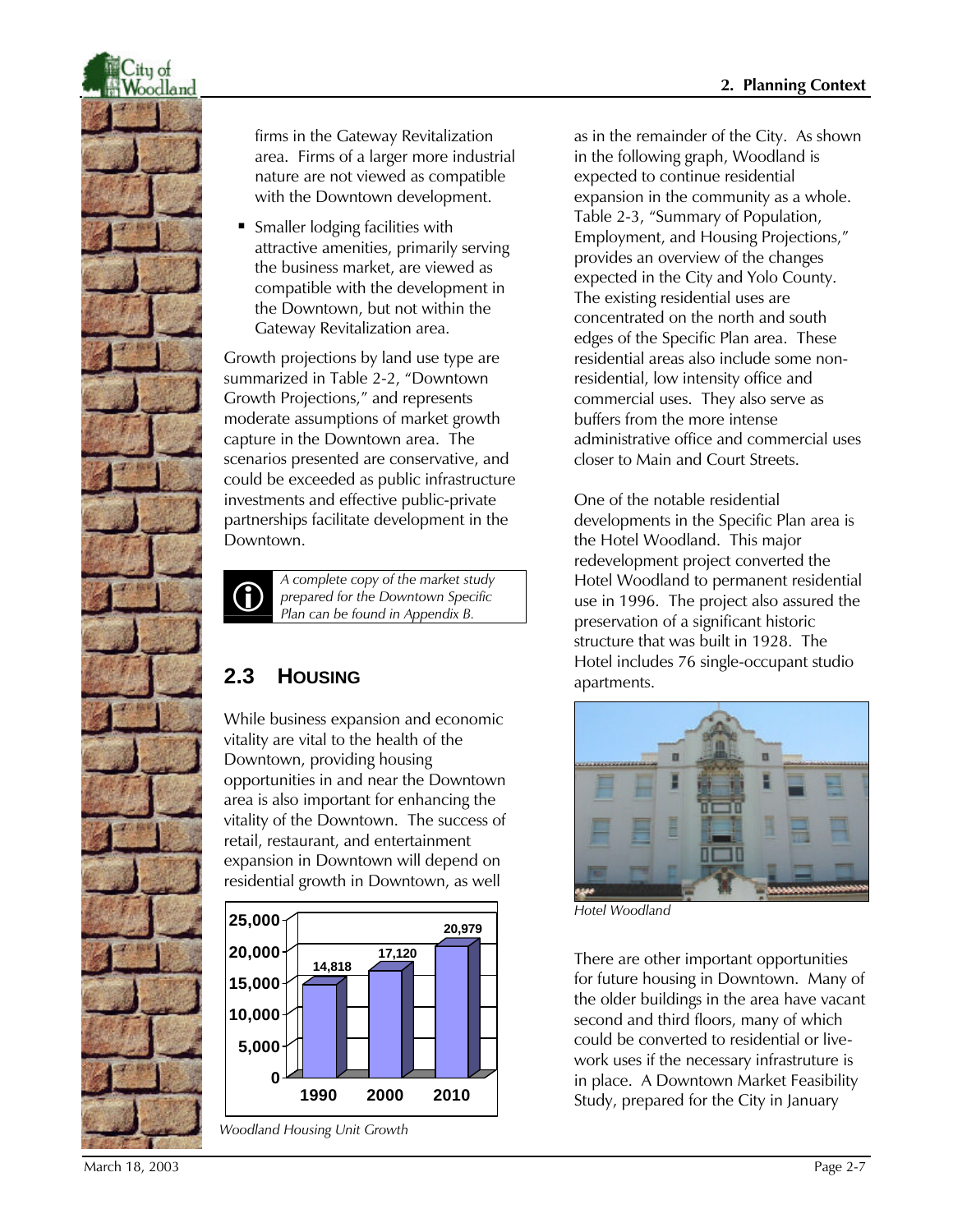

firms in the Gateway Revitalization area. Firms of a larger more industrial nature are not viewed as compatible with the Downtown development.

ß Smaller lodging facilities with attractive amenities, primarily serving the business market, are viewed as compatible with the development in the Downtown, but not within the Gateway Revitalization area.

Growth projections by land use type are summarized in Table 2-2, "Downtown Growth Projections," and represents moderate assumptions of market growth capture in the Downtown area. The scenarios presented are conservative, and could be exceeded as public infrastructure investments and effective public-private partnerships facilitate development in the Downtown.



*A complete copy of the market study prepared for the Downtown Specific Plan can be found in Appendix B.*

# **2.3 HOUSING**

While business expansion and economic vitality are vital to the health of the Downtown, providing housing opportunities in and near the Downtown area is also important for enhancing the vitality of the Downtown. The success of retail, restaurant, and entertainment expansion in Downtown will depend on residential growth in Downtown, as well



*Woodland Housing Unit Growth*

as in the remainder of the City. As shown in the following graph, Woodland is expected to continue residential expansion in the community as a whole. Table 2-3, "Summary of Population, Employment, and Housing Projections," provides an overview of the changes expected in the City and Yolo County. The existing residential uses are concentrated on the north and south edges of the Specific Plan area. These residential areas also include some nonresidential, low intensity office and commercial uses. They also serve as buffers from the more intense administrative office and commercial uses closer to Main and Court Streets.

One of the notable residential developments in the Specific Plan area is the Hotel Woodland. This major redevelopment project converted the Hotel Woodland to permanent residential use in 1996. The project also assured the preservation of a significant historic structure that was built in 1928. The Hotel includes 76 single-occupant studio apartments.



*Hotel Woodland*

There are other important opportunities for future housing in Downtown. Many of the older buildings in the area have vacant second and third floors, many of which could be converted to residential or livework uses if the necessary infrastruture is in place. A Downtown Market Feasibility Study, prepared for the City in January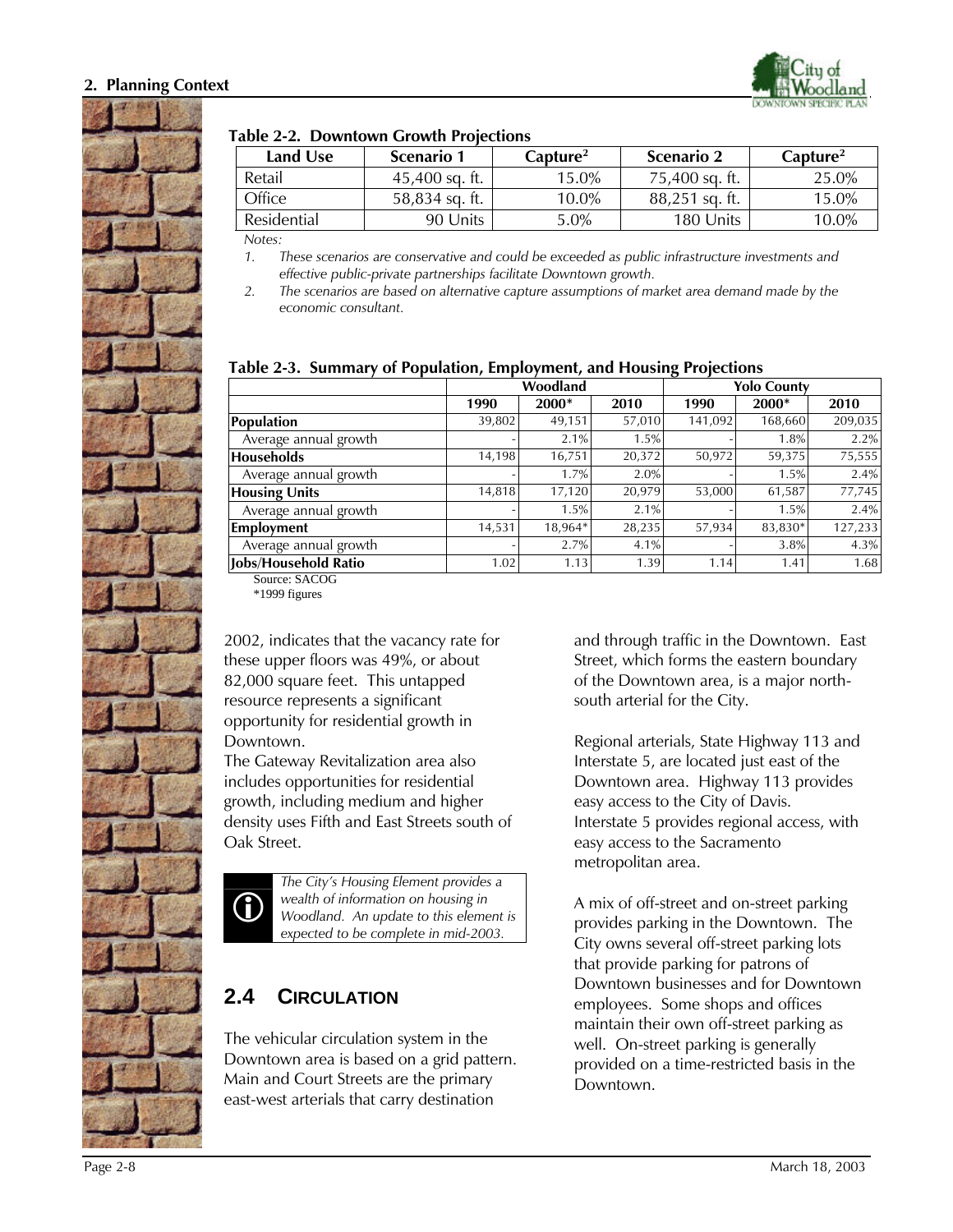

#### **Table 2-2. Downtown Growth Projections**

| Land Use    | Scenario 1       | $\rm \bf Canture^2$ | <b>Scenario 2</b> | $\rm \bf Canture^2$ |
|-------------|------------------|---------------------|-------------------|---------------------|
| Retail      | $45,400$ sq. ft. | 15.0%               | 75.400 sq. ft.    | 25.0%               |
| Office      | 58.834 sq. ft.   | $10.0\%$            | $88,251$ sq. ft.  | 15.0%               |
| Residential | 90 Units         | $5.0\%$             | 180 Units         | 10.0%               |

*Notes:*

*1. These scenarios are conservative and could be exceeded as public infrastructure investments and effective public-private partnerships facilitate Downtown growth.*

*2. The scenarios are based on alternative capture assumptions of market area demand made by the economic consultant.*

|                       | Woodland |         | <b>Yolo County</b> |         |         |         |
|-----------------------|----------|---------|--------------------|---------|---------|---------|
|                       | 1990     | 2000*   | 2010               | 1990    | 2000*   | 2010    |
| <b>Population</b>     | 39,802   | 49.151  | 57,010             | 141,092 | 168,660 | 209,035 |
| Average annual growth |          | 2.1%    | 1.5%               |         | 1.8%    | 2.2%    |
| <b>Households</b>     | 14,198   | 16,751  | 20,372             | 50,972  | 59,375  | 75,555  |
| Average annual growth |          | 1.7%    | 2.0%               |         | 1.5%    | 2.4%    |
| <b>Housing Units</b>  | 14,818   | 17,120  | 20,979             | 53,000  | 61,587  | 77,745  |
| Average annual growth |          | 1.5%    | 2.1%               |         | 1.5%    | 2.4%    |
| <b>Employment</b>     | 14,531   | 18,964* | 28,235             | 57,934  | 83.830* | 127,233 |
| Average annual growth |          | 2.7%    | 4.1%               |         | 3.8%    | 4.3%    |
| Jobs/Household Ratio  | 1.02     | 1.13    | 1.39               | 1.14    | 1.41    | 1.68    |

#### **Table 2-3. Summary of Population, Employment, and Housing Projections**

Source: SACOG

\*1999 figures

2002, indicates that the vacancy rate for these upper floors was 49%, or about 82,000 square feet. This untapped resource represents a significant opportunity for residential growth in Downtown.

The Gateway Revitalization area also includes opportunities for residential growth, including medium and higher density uses Fifth and East Streets south of Oak Street.



*The City's Housing Element provides a wealth of information on housing in Woodland. An update to this element is expected to be complete in mid-2003.*

# **2.4 CIRCULATION**

The vehicular circulation system in the Downtown area is based on a grid pattern. Main and Court Streets are the primary east-west arterials that carry destination

and through traffic in the Downtown. East Street, which forms the eastern boundary of the Downtown area, is a major northsouth arterial for the City.

Regional arterials, State Highway 113 and Interstate 5, are located just east of the Downtown area. Highway 113 provides easy access to the City of Davis. Interstate 5 provides regional access, with easy access to the Sacramento metropolitan area.

A mix of off-street and on-street parking provides parking in the Downtown. The City owns several off-street parking lots that provide parking for patrons of Downtown businesses and for Downtown employees. Some shops and offices maintain their own off-street parking as well. On-street parking is generally provided on a time-restricted basis in the Downtown.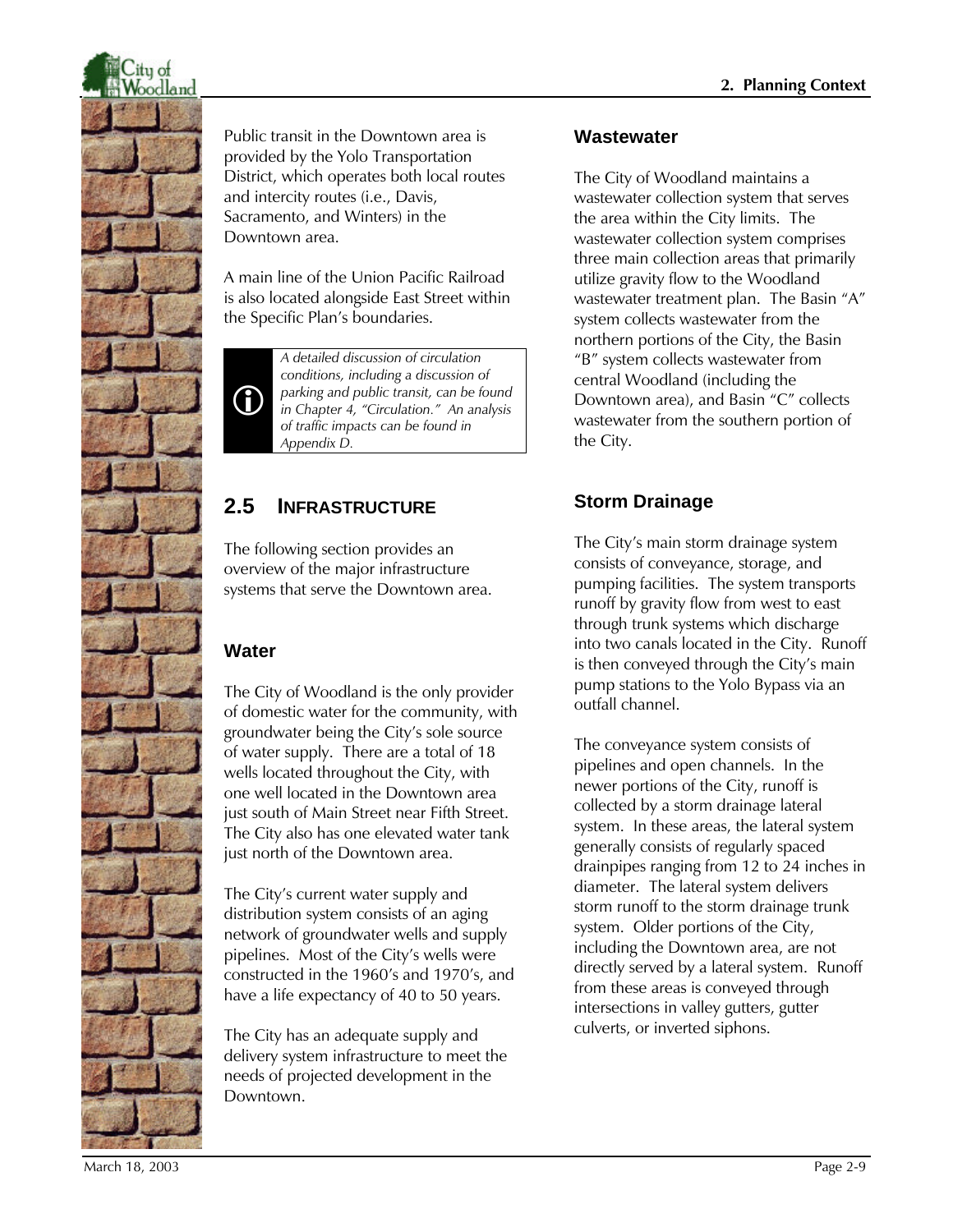

Public transit in the Downtown area is provided by the Yolo Transportation District, which operates both local routes and intercity routes (i.e., Davis, Sacramento, and Winters) in the Downtown area.

A main line of the Union Pacific Railroad is also located alongside East Street within the Specific Plan's boundaries.



*A detailed discussion of circulation conditions, including a discussion of parking and public transit, can be found in Chapter 4, "Circulation." An analysis of traffic impacts can be found in Appendix D.*

# **2.5 INFRASTRUCTURE**

The following section provides an overview of the major infrastructure systems that serve the Downtown area.

# **Water**

The City of Woodland is the only provider of domestic water for the community, with groundwater being the City's sole source of water supply. There are a total of 18 wells located throughout the City, with one well located in the Downtown area just south of Main Street near Fifth Street. The City also has one elevated water tank just north of the Downtown area.

The City's current water supply and distribution system consists of an aging network of groundwater wells and supply pipelines. Most of the City's wells were constructed in the 1960's and 1970's, and have a life expectancy of 40 to 50 years.

The City has an adequate supply and delivery system infrastructure to meet the needs of projected development in the Downtown.

#### **Wastewater**

The City of Woodland maintains a wastewater collection system that serves the area within the City limits. The wastewater collection system comprises three main collection areas that primarily utilize gravity flow to the Woodland wastewater treatment plan. The Basin "A" system collects wastewater from the northern portions of the City, the Basin "B" system collects wastewater from central Woodland (including the Downtown area), and Basin "C" collects wastewater from the southern portion of the City.

# **Storm Drainage**

The City's main storm drainage system consists of conveyance, storage, and pumping facilities. The system transports runoff by gravity flow from west to east through trunk systems which discharge into two canals located in the City. Runoff is then conveyed through the City's main pump stations to the Yolo Bypass via an outfall channel.

The conveyance system consists of pipelines and open channels. In the newer portions of the City, runoff is collected by a storm drainage lateral system. In these areas, the lateral system generally consists of regularly spaced drainpipes ranging from 12 to 24 inches in diameter. The lateral system delivers storm runoff to the storm drainage trunk system. Older portions of the City, including the Downtown area, are not directly served by a lateral system. Runoff from these areas is conveyed through intersections in valley gutters, gutter culverts, or inverted siphons.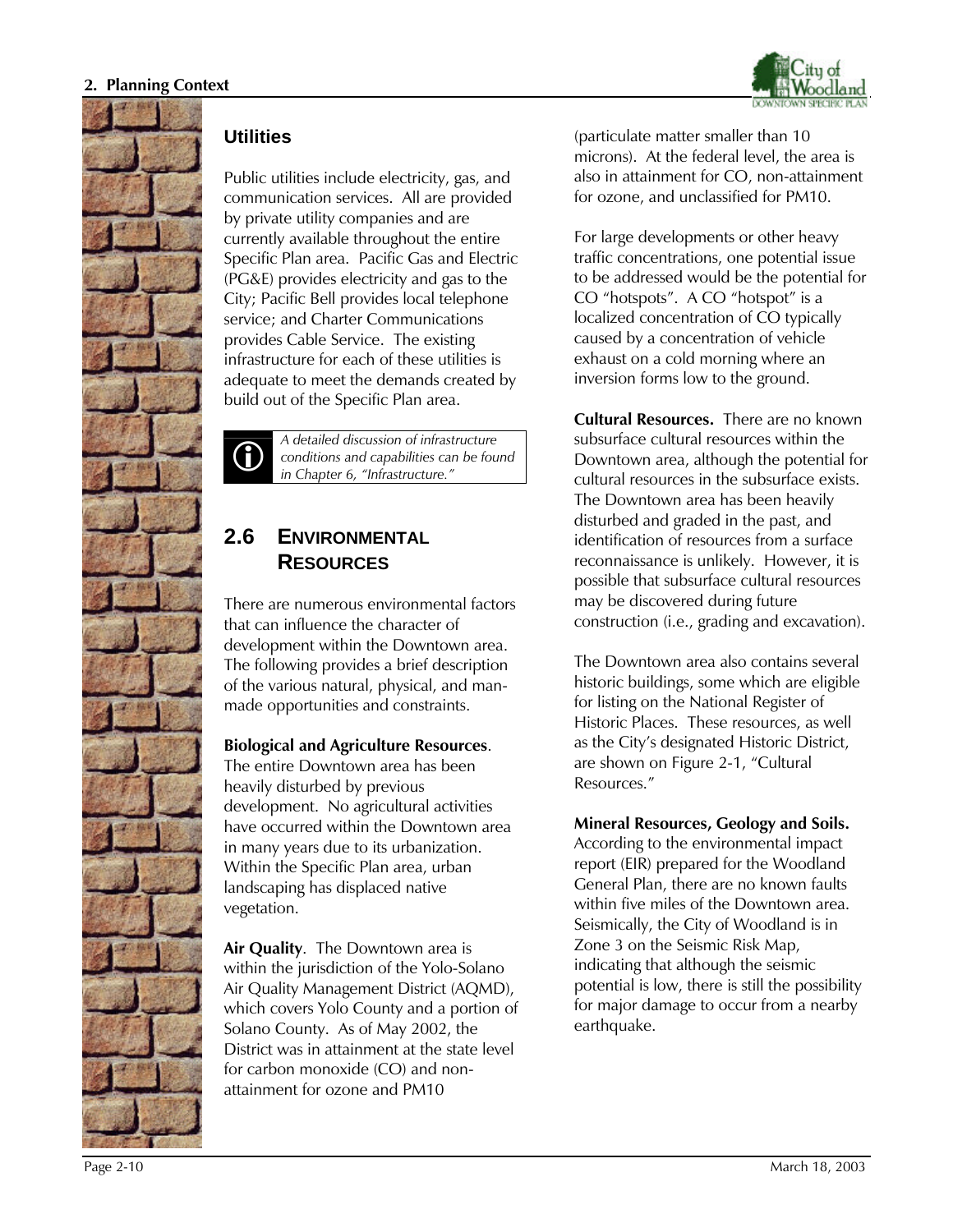



#### **Utilities**

Public utilities include electricity, gas, and communication services. All are provided by private utility companies and are currently available throughout the entire Specific Plan area. Pacific Gas and Electric (PG&E) provides electricity and gas to the City; Pacific Bell provides local telephone service; and Charter Communications provides Cable Service. The existing infrastructure for each of these utilities is adequate to meet the demands created by build out of the Specific Plan area.



*A detailed discussion of infrastructure conditions and capabilities can be found in Chapter 6, "Infrastructure."*

# **2.6 ENVIRONMENTAL RESOURCES**

There are numerous environmental factors that can influence the character of development within the Downtown area. The following provides a brief description of the various natural, physical, and manmade opportunities and constraints.

#### **Biological and Agriculture Resources**.

The entire Downtown area has been heavily disturbed by previous development. No agricultural activities have occurred within the Downtown area in many years due to its urbanization. Within the Specific Plan area, urban landscaping has displaced native vegetation.

**Air Quality**. The Downtown area is within the jurisdiction of the Yolo-Solano Air Quality Management District (AQMD), which covers Yolo County and a portion of Solano County. As of May 2002, the District was in attainment at the state level for carbon monoxide (CO) and nonattainment for ozone and PM10

(particulate matter smaller than 10 microns). At the federal level, the area is also in attainment for CO, non-attainment for ozone, and unclassified for PM10.

For large developments or other heavy traffic concentrations, one potential issue to be addressed would be the potential for CO "hotspots". A CO "hotspot" is a localized concentration of CO typically caused by a concentration of vehicle exhaust on a cold morning where an inversion forms low to the ground.

**Cultural Resources.** There are no known subsurface cultural resources within the Downtown area, although the potential for cultural resources in the subsurface exists. The Downtown area has been heavily disturbed and graded in the past, and identification of resources from a surface reconnaissance is unlikely. However, it is possible that subsurface cultural resources may be discovered during future construction (i.e., grading and excavation).

The Downtown area also contains several historic buildings, some which are eligible for listing on the National Register of Historic Places. These resources, as well as the City's designated Historic District, are shown on Figure 2-1, "Cultural Resources."

**Mineral Resources, Geology and Soils.** According to the environmental impact report (EIR) prepared for the Woodland General Plan, there are no known faults within five miles of the Downtown area. Seismically, the City of Woodland is in Zone 3 on the Seismic Risk Map, indicating that although the seismic potential is low, there is still the possibility for major damage to occur from a nearby earthquake.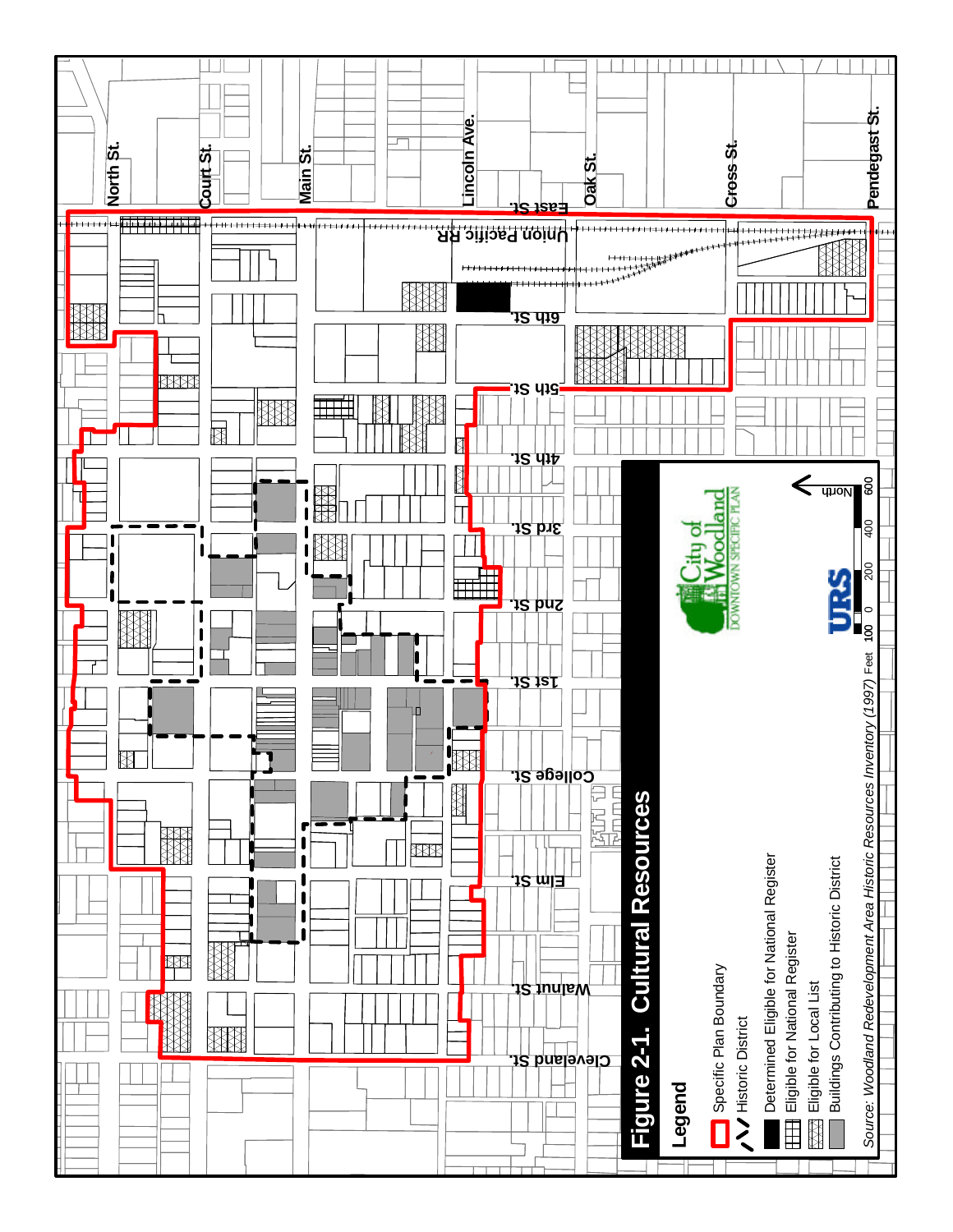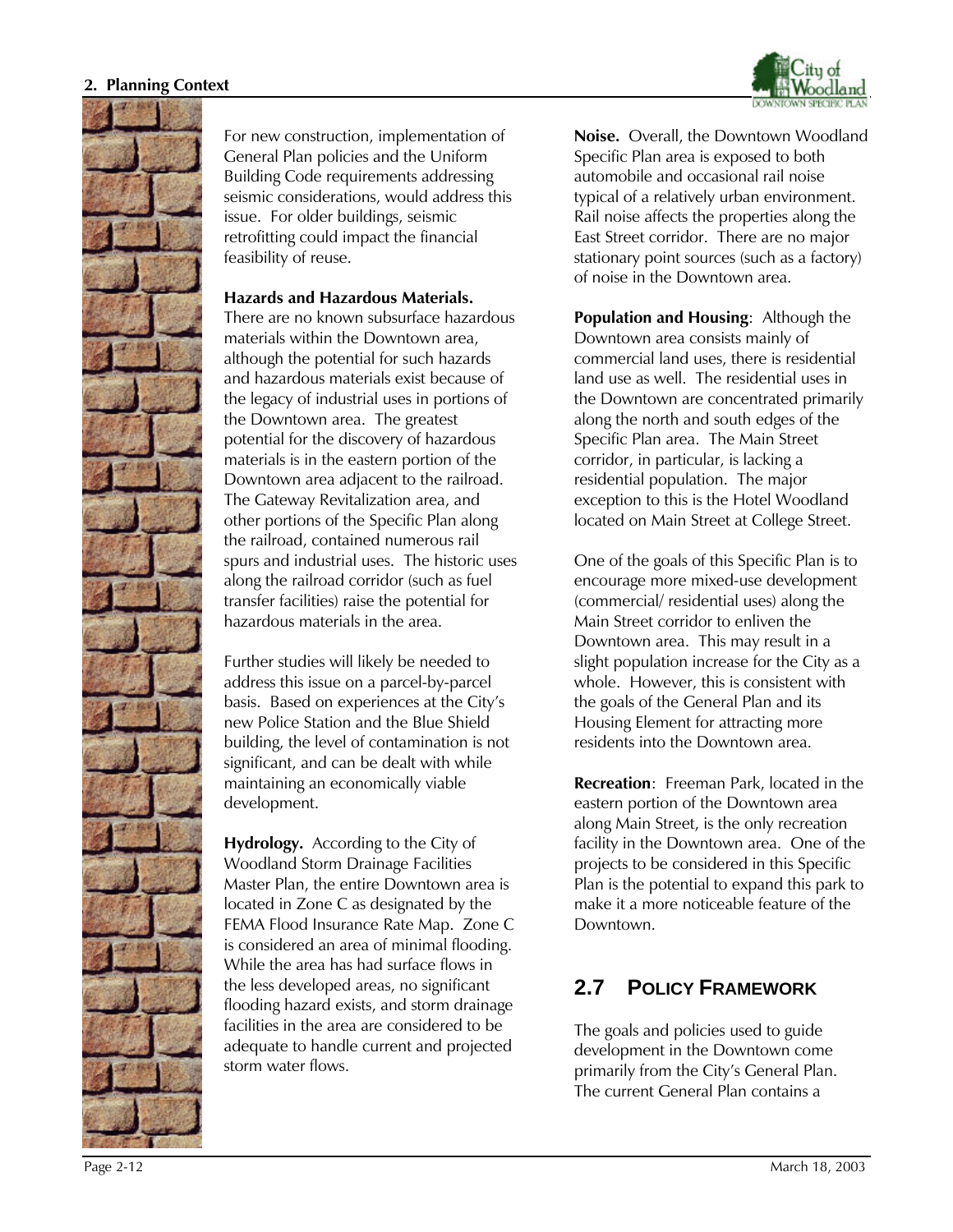

For new construction, implementation of General Plan policies and the Uniform Building Code requirements addressing seismic considerations, would address this issue. For older buildings, seismic retrofitting could impact the financial feasibility of reuse.

#### **Hazards and Hazardous Materials.**

There are no known subsurface hazardous materials within the Downtown area, although the potential for such hazards and hazardous materials exist because of the legacy of industrial uses in portions of the Downtown area. The greatest potential for the discovery of hazardous materials is in the eastern portion of the Downtown area adjacent to the railroad. The Gateway Revitalization area, and other portions of the Specific Plan along the railroad, contained numerous rail spurs and industrial uses. The historic uses along the railroad corridor (such as fuel transfer facilities) raise the potential for hazardous materials in the area.

Further studies will likely be needed to address this issue on a parcel-by-parcel basis. Based on experiences at the City's new Police Station and the Blue Shield building, the level of contamination is not significant, and can be dealt with while maintaining an economically viable development.

**Hydrology.** According to the City of Woodland Storm Drainage Facilities Master Plan, the entire Downtown area is located in Zone C as designated by the FEMA Flood Insurance Rate Map. Zone C is considered an area of minimal flooding. While the area has had surface flows in the less developed areas, no significant flooding hazard exists, and storm drainage facilities in the area are considered to be adequate to handle current and projected storm water flows.

**Noise.** Overall, the Downtown Woodland Specific Plan area is exposed to both automobile and occasional rail noise typical of a relatively urban environment. Rail noise affects the properties along the East Street corridor. There are no major stationary point sources (such as a factory) of noise in the Downtown area.

**Population and Housing**: Although the Downtown area consists mainly of commercial land uses, there is residential land use as well. The residential uses in the Downtown are concentrated primarily along the north and south edges of the Specific Plan area. The Main Street corridor, in particular, is lacking a residential population. The major exception to this is the Hotel Woodland located on Main Street at College Street.

One of the goals of this Specific Plan is to encourage more mixed-use development (commercial/ residential uses) along the Main Street corridor to enliven the Downtown area. This may result in a slight population increase for the City as a whole. However, this is consistent with the goals of the General Plan and its Housing Element for attracting more residents into the Downtown area.

**Recreation**: Freeman Park, located in the eastern portion of the Downtown area along Main Street, is the only recreation facility in the Downtown area. One of the projects to be considered in this Specific Plan is the potential to expand this park to make it a more noticeable feature of the Downtown.

# **2.7 POLICY FRAMEWORK**

The goals and policies used to guide development in the Downtown come primarily from the City's General Plan. The current General Plan contains a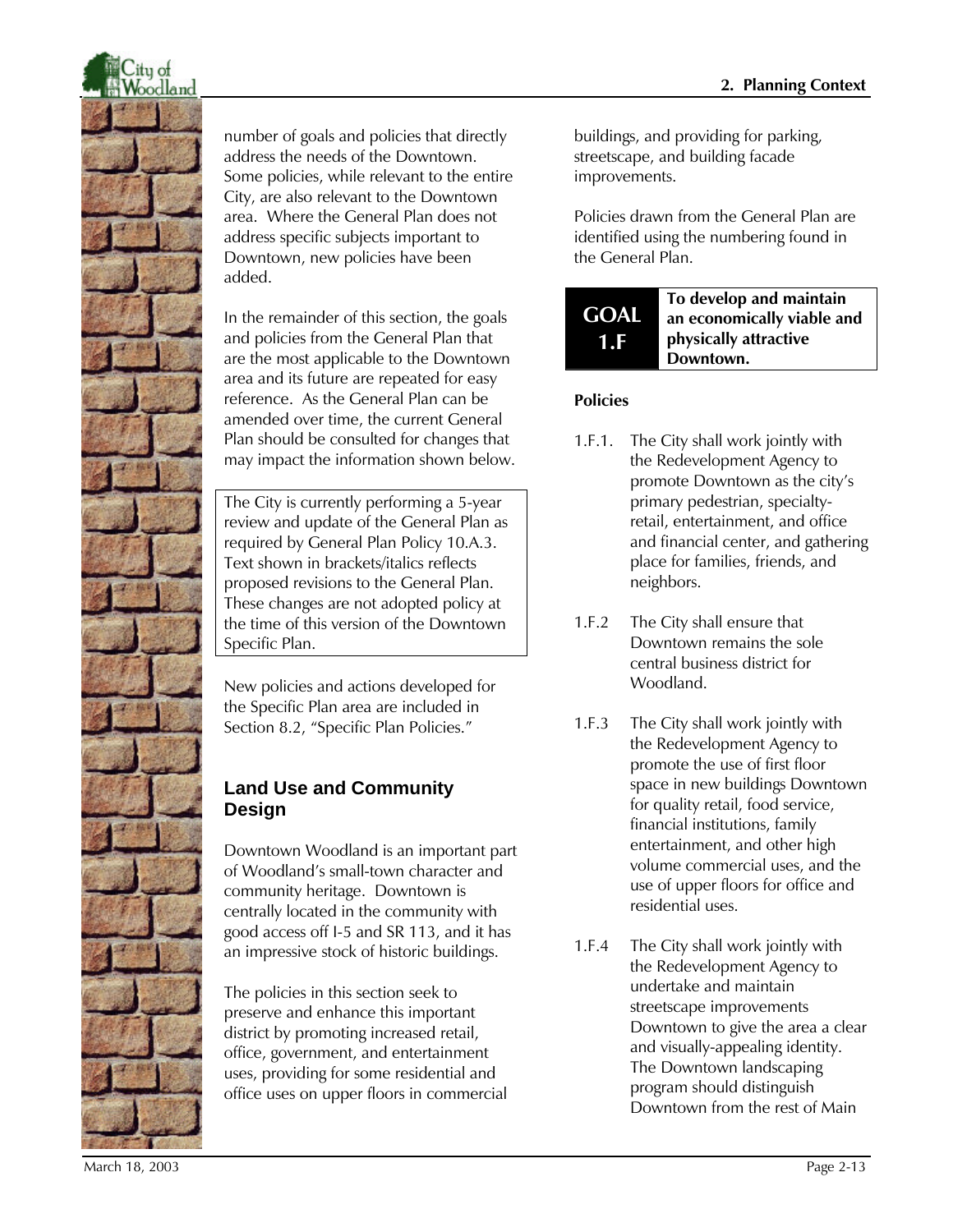

number of goals and policies that directly address the needs of the Downtown. Some policies, while relevant to the entire City, are also relevant to the Downtown area. Where the General Plan does not address specific subjects important to Downtown, new policies have been added.

In the remainder of this section, the goals and policies from the General Plan that are the most applicable to the Downtown area and its future are repeated for easy reference. As the General Plan can be amended over time, the current General Plan should be consulted for changes that may impact the information shown below.

The City is currently performing a 5-year review and update of the General Plan as required by General Plan Policy 10.A.3. Text shown in brackets/italics reflects proposed revisions to the General Plan. These changes are not adopted policy at the time of this version of the Downtown Specific Plan.

New policies and actions developed for the Specific Plan area are included in Section 8.2, "Specific Plan Policies."

# **Land Use and Community Design**

Downtown Woodland is an important part of Woodland's small-town character and community heritage. Downtown is centrally located in the community with good access off I-5 and SR 113, and it has an impressive stock of historic buildings.

The policies in this section seek to preserve and enhance this important district by promoting increased retail, office, government, and entertainment uses, providing for some residential and office uses on upper floors in commercial

buildings, and providing for parking, streetscape, and building facade improvements.

Policies drawn from the General Plan are identified using the numbering found in the General Plan.

#### **GOAL 1.F To develop and maintain an economically viable and physically attractive Downtown.**

- 1.F.1. The City shall work jointly with the Redevelopment Agency to promote Downtown as the city's primary pedestrian, specialtyretail, entertainment, and office and financial center, and gathering place for families, friends, and neighbors.
- 1.F.2 The City shall ensure that Downtown remains the sole central business district for Woodland.
- 1.F.3 The City shall work jointly with the Redevelopment Agency to promote the use of first floor space in new buildings Downtown for quality retail, food service, financial institutions, family entertainment, and other high volume commercial uses, and the use of upper floors for office and residential uses.
- 1.F.4 The City shall work jointly with the Redevelopment Agency to undertake and maintain streetscape improvements Downtown to give the area a clear and visually-appealing identity. The Downtown landscaping program should distinguish Downtown from the rest of Main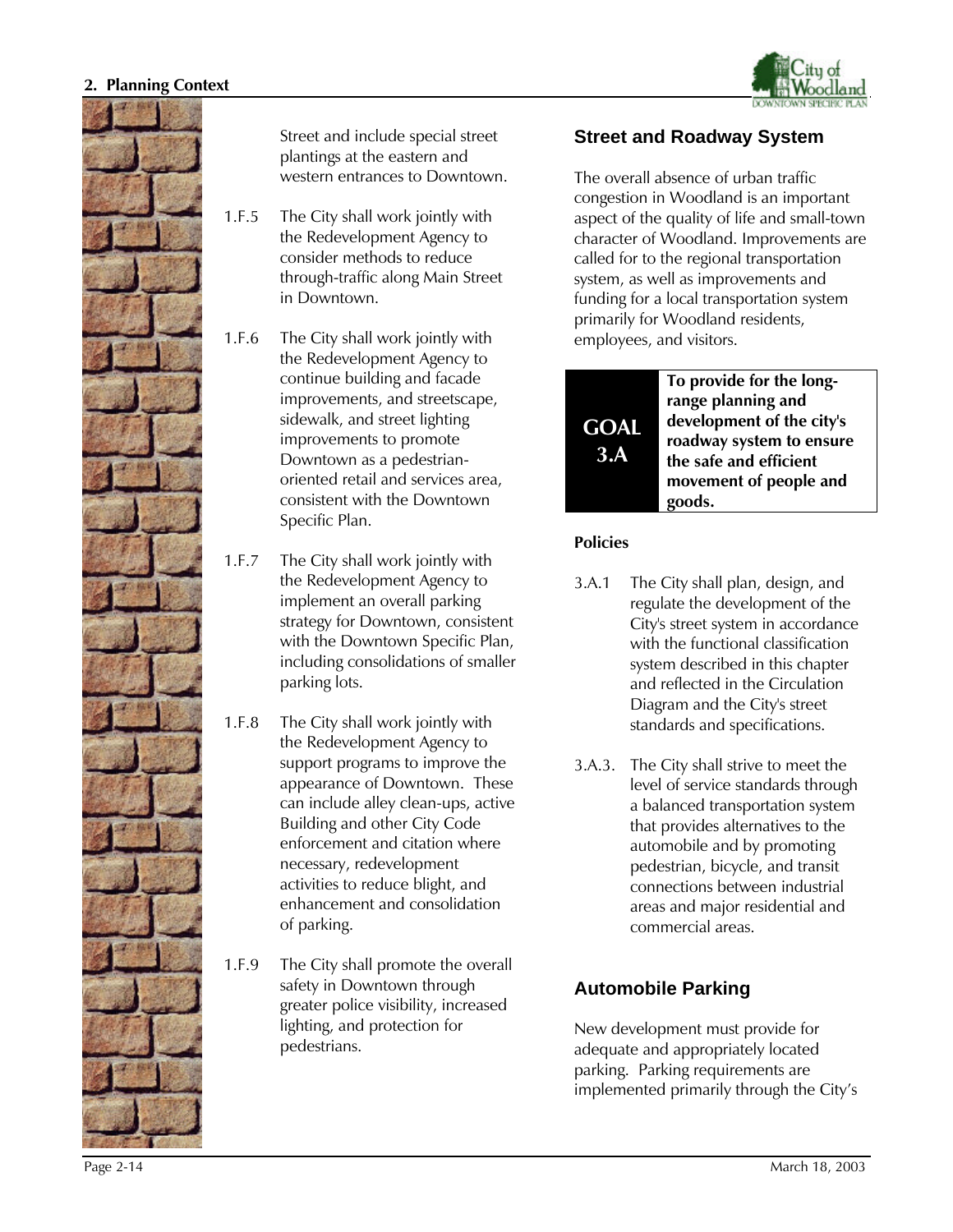



Street and include special street plantings at the eastern and western entrances to Downtown.

- 1.F.5 The City shall work jointly with the Redevelopment Agency to consider methods to reduce through-traffic along Main Street in Downtown.
- 1.F.6 The City shall work jointly with the Redevelopment Agency to continue building and facade improvements, and streetscape, sidewalk, and street lighting improvements to promote Downtown as a pedestrianoriented retail and services area, consistent with the Downtown Specific Plan.
- 1.F.7 The City shall work jointly with the Redevelopment Agency to implement an overall parking strategy for Downtown, consistent with the Downtown Specific Plan, including consolidations of smaller parking lots.
- 1.F.8 The City shall work jointly with the Redevelopment Agency to support programs to improve the appearance of Downtown. These can include alley clean-ups, active Building and other City Code enforcement and citation where necessary, redevelopment activities to reduce blight, and enhancement and consolidation of parking.
- 1.F.9 The City shall promote the overall safety in Downtown through greater police visibility, increased lighting, and protection for pedestrians.

### **Street and Roadway System**

The overall absence of urban traffic congestion in Woodland is an important aspect of the quality of life and small-town character of Woodland. Improvements are called for to the regional transportation system, as well as improvements and funding for a local transportation system primarily for Woodland residents, employees, and visitors.



#### **Policies**

- 3.A.1 The City shall plan, design, and regulate the development of the City's street system in accordance with the functional classification system described in this chapter and reflected in the Circulation Diagram and the City's street standards and specifications.
- 3.A.3. The City shall strive to meet the level of service standards through a balanced transportation system that provides alternatives to the automobile and by promoting pedestrian, bicycle, and transit connections between industrial areas and major residential and commercial areas.

### **Automobile Parking**

New development must provide for adequate and appropriately located parking. Parking requirements are implemented primarily through the City's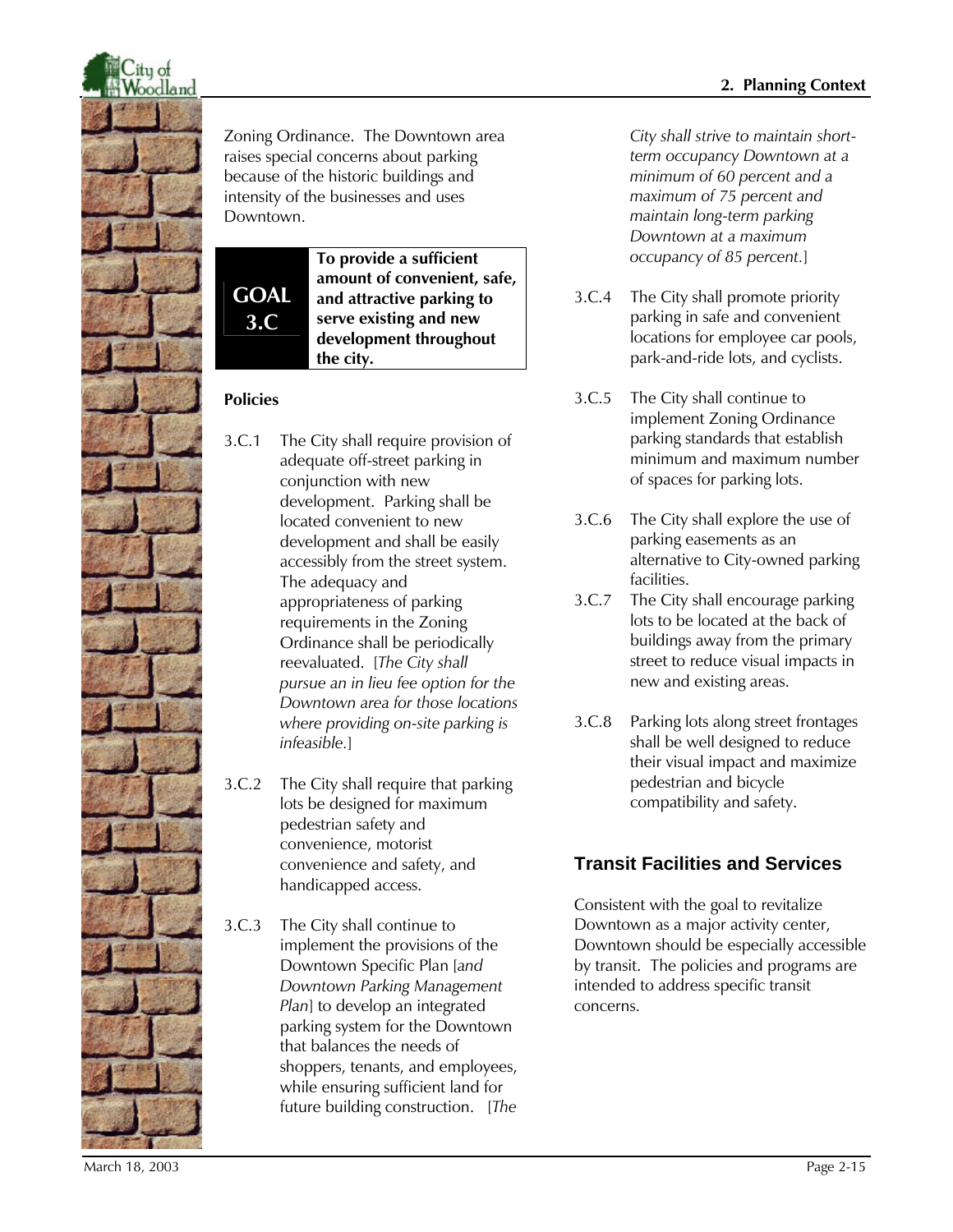

Zoning Ordinance. The Downtown area raises special concerns about parking because of the historic buildings and intensity of the businesses and uses Downtown.

**GOAL 3.C**

**To provide a sufficient amount of convenient, safe, and attractive parking to serve existing and new development throughout the city.** 

#### **Policies**

- 3.C.1 The City shall require provision of adequate off-street parking in conjunction with new development. Parking shall be located convenient to new development and shall be easily accessibly from the street system. The adequacy and appropriateness of parking requirements in the Zoning Ordinance shall be periodically reevaluated. [*The City shall pursue an in lieu fee option for the Downtown area for those locations where providing on-site parking is infeasible.*]
- 3.C.2 The City shall require that parking lots be designed for maximum pedestrian safety and convenience, motorist convenience and safety, and handicapped access.
- 3.C.3 The City shall continue to implement the provisions of the Downtown Specific Plan [*and Downtown Parking Management Plan*] to develop an integrated parking system for the Downtown that balances the needs of shoppers, tenants, and employees, while ensuring sufficient land for future building construction. [*The*

*City shall strive to maintain shortterm occupancy Downtown at a minimum of 60 percent and a maximum of 75 percent and maintain long-term parking Downtown at a maximum occupancy of 85 percent.*]

- 3.C.4 The City shall promote priority parking in safe and convenient locations for employee car pools, park-and-ride lots, and cyclists.
- 3.C.5 The City shall continue to implement Zoning Ordinance parking standards that establish minimum and maximum number of spaces for parking lots.
- 3.C.6 The City shall explore the use of parking easements as an alternative to City-owned parking facilities.
- 3.C.7 The City shall encourage parking lots to be located at the back of buildings away from the primary street to reduce visual impacts in new and existing areas.
- 3.C.8 Parking lots along street frontages shall be well designed to reduce their visual impact and maximize pedestrian and bicycle compatibility and safety.

# **Transit Facilities and Services**

Consistent with the goal to revitalize Downtown as a major activity center, Downtown should be especially accessible by transit. The policies and programs are intended to address specific transit concerns.

March 18, 2003 Page 2-15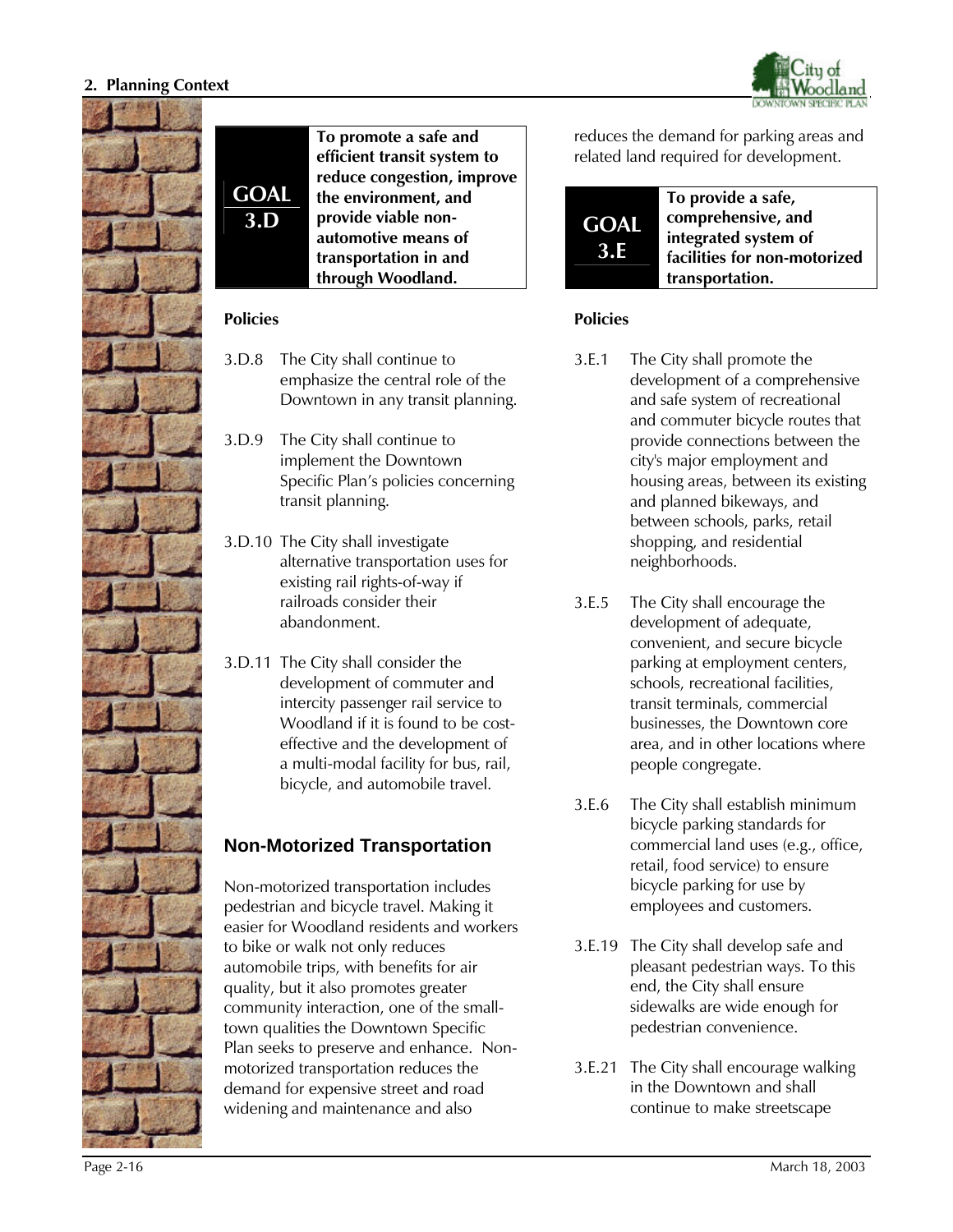



**GOAL To promote a safe and efficient transit system to reduce congestion, improve the environment, and provide viable nonautomotive means of transportation in and through Woodland.**

#### **Policies**

**3.D**

- 3.D.8 The City shall continue to emphasize the central role of the Downtown in any transit planning.
- 3.D.9 The City shall continue to implement the Downtown Specific Plan's policies concerning transit planning.
- 3.D.10 The City shall investigate alternative transportation uses for existing rail rights-of-way if railroads consider their abandonment.
- 3.D.11 The City shall consider the development of commuter and intercity passenger rail service to Woodland if it is found to be costeffective and the development of a multi-modal facility for bus, rail, bicycle, and automobile travel.

# **Non-Motorized Transportation**

Non-motorized transportation includes pedestrian and bicycle travel. Making it easier for Woodland residents and workers to bike or walk not only reduces automobile trips, with benefits for air quality, but it also promotes greater community interaction, one of the smalltown qualities the Downtown Specific Plan seeks to preserve and enhance. Nonmotorized transportation reduces the demand for expensive street and road widening and maintenance and also

reduces the demand for parking areas and related land required for development.



- 3.E.1 The City shall promote the development of a comprehensive and safe system of recreational and commuter bicycle routes that provide connections between the city's major employment and housing areas, between its existing and planned bikeways, and between schools, parks, retail shopping, and residential neighborhoods.
- 3.E.5 The City shall encourage the development of adequate, convenient, and secure bicycle parking at employment centers, schools, recreational facilities, transit terminals, commercial businesses, the Downtown core area, and in other locations where people congregate.
- 3.E.6 The City shall establish minimum bicycle parking standards for commercial land uses (e.g., office, retail, food service) to ensure bicycle parking for use by employees and customers.
- 3.E.19 The City shall develop safe and pleasant pedestrian ways. To this end, the City shall ensure sidewalks are wide enough for pedestrian convenience.
- 3.E.21 The City shall encourage walking in the Downtown and shall continue to make streetscape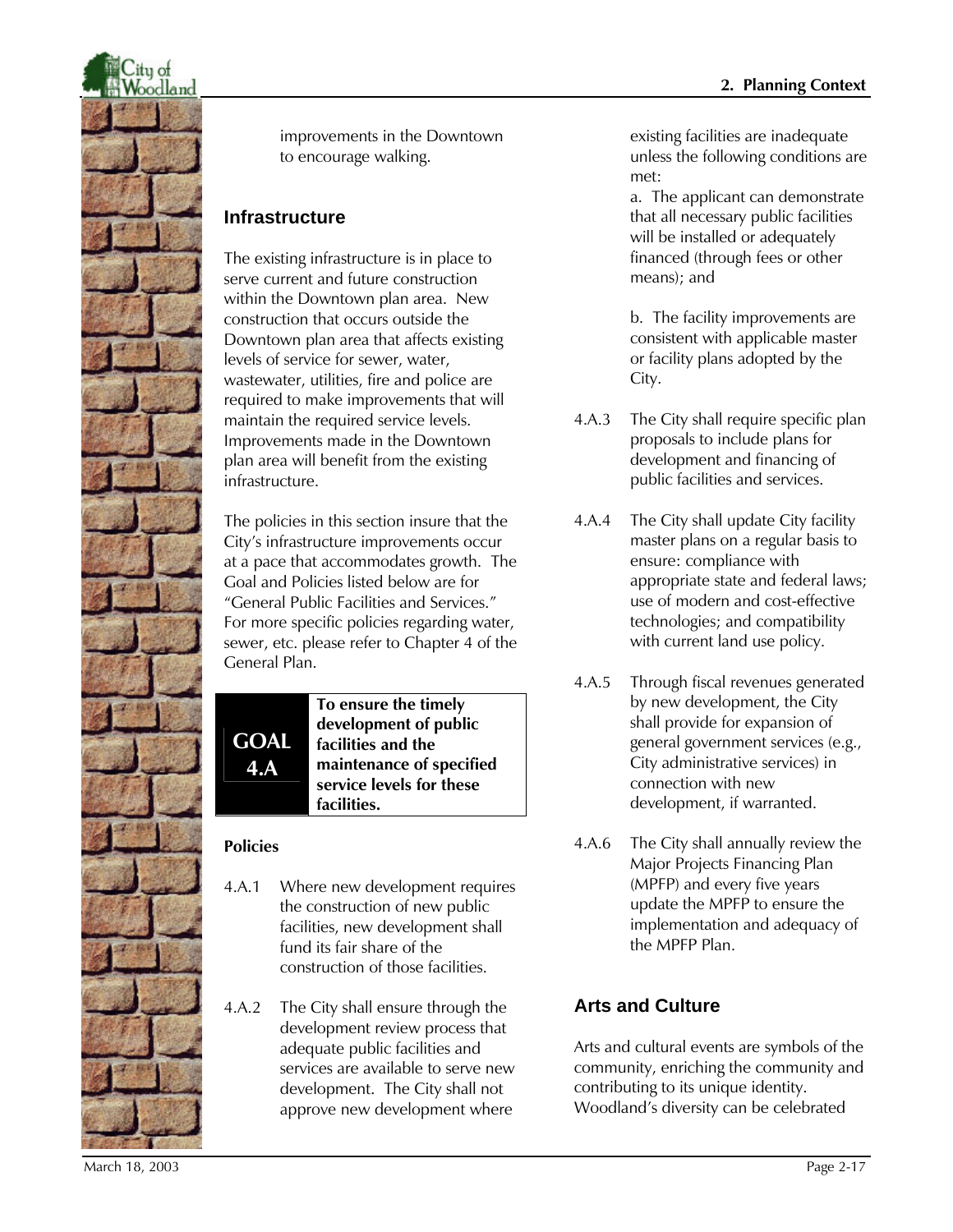

improvements in the Downtown to encourage walking.

### **Infrastructure**

The existing infrastructure is in place to serve current and future construction within the Downtown plan area. New construction that occurs outside the Downtown plan area that affects existing levels of service for sewer, water, wastewater, utilities, fire and police are required to make improvements that will maintain the required service levels. Improvements made in the Downtown plan area will benefit from the existing infrastructure.

The policies in this section insure that the City's infrastructure improvements occur at a pace that accommodates growth. The Goal and Policies listed below are for "General Public Facilities and Services." For more specific policies regarding water, sewer, etc. please refer to Chapter 4 of the General Plan.

**GOAL 4.A**

**To ensure the timely development of public facilities and the maintenance of specified service levels for these facilities.**

# **Policies**

- 4.A.1 Where new development requires the construction of new public facilities, new development shall fund its fair share of the construction of those facilities.
- 4.A.2 The City shall ensure through the development review process that adequate public facilities and services are available to serve new development. The City shall not approve new development where

existing facilities are inadequate unless the following conditions are met:

a. The applicant can demonstrate that all necessary public facilities will be installed or adequately financed (through fees or other means); and

b. The facility improvements are consistent with applicable master or facility plans adopted by the City.

- 4.A.3 The City shall require specific plan proposals to include plans for development and financing of public facilities and services.
- 4.A.4 The City shall update City facility master plans on a regular basis to ensure: compliance with appropriate state and federal laws; use of modern and cost-effective technologies; and compatibility with current land use policy.
- 4.A.5 Through fiscal revenues generated by new development, the City shall provide for expansion of general government services (e.g., City administrative services) in connection with new development, if warranted.
- 4.A.6 The City shall annually review the Major Projects Financing Plan (MPFP) and every five years update the MPFP to ensure the implementation and adequacy of the MPFP Plan.

# **Arts and Culture**

Arts and cultural events are symbols of the community, enriching the community and contributing to its unique identity. Woodland's diversity can be celebrated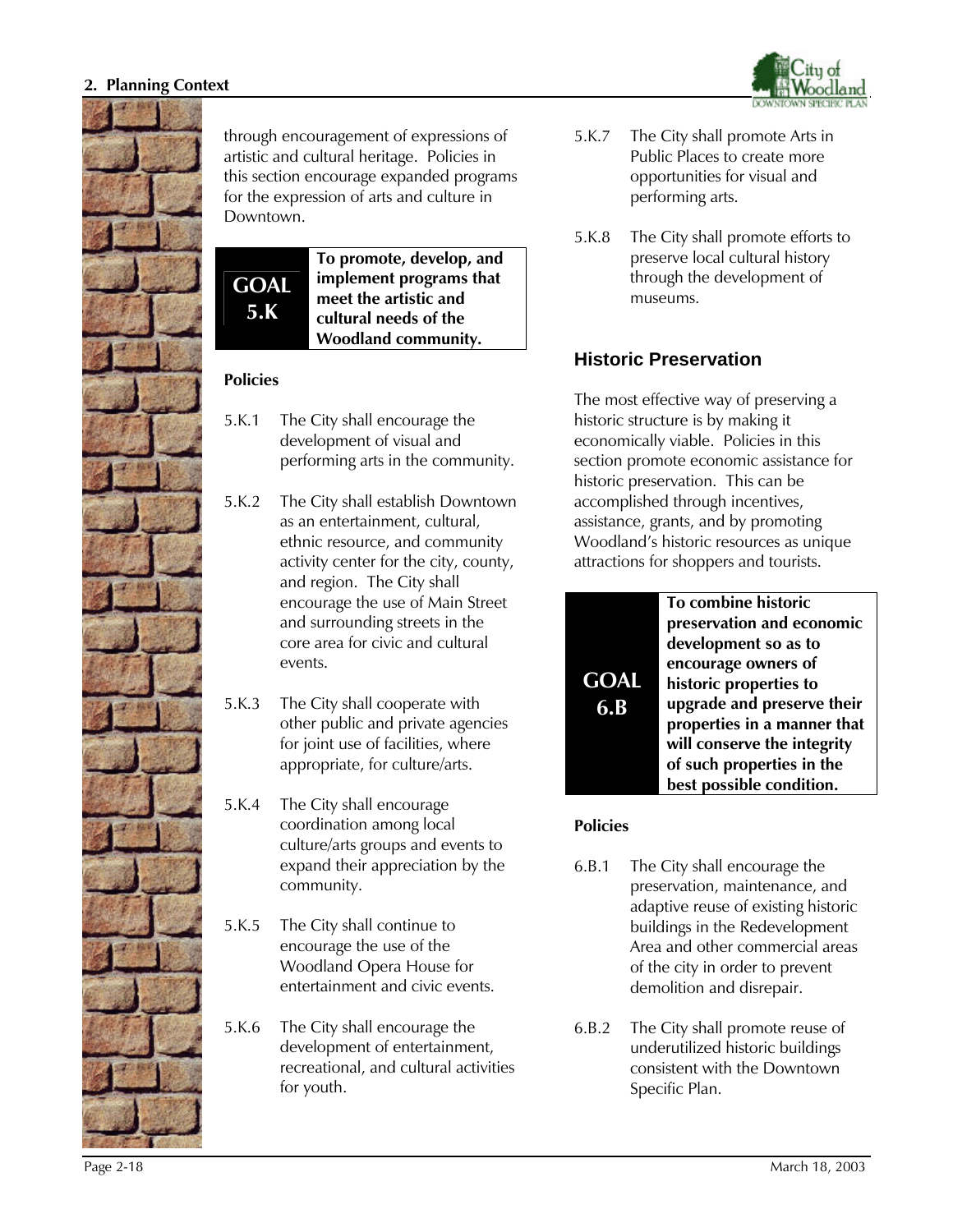

through encouragement of expressions of artistic and cultural heritage. Policies in this section encourage expanded programs for the expression of arts and culture in Downtown.

**GOAL 5.K**

**To promote, develop, and implement programs that meet the artistic and cultural needs of the Woodland community.** 

#### **Policies**

- 5.K.1 The City shall encourage the development of visual and performing arts in the community.
- 5.K.2 The City shall establish Downtown as an entertainment, cultural, ethnic resource, and community activity center for the city, county, and region. The City shall encourage the use of Main Street and surrounding streets in the core area for civic and cultural events.
- 5.K.3 The City shall cooperate with other public and private agencies for joint use of facilities, where appropriate, for culture/arts.
- 5.K.4 The City shall encourage coordination among local culture/arts groups and events to expand their appreciation by the community.
- 5.K.5 The City shall continue to encourage the use of the Woodland Opera House for entertainment and civic events.
- 5.K.6 The City shall encourage the development of entertainment, recreational, and cultural activities for youth.



- 5.K.7 The City shall promote Arts in Public Places to create more opportunities for visual and performing arts.
- 5.K.8 The City shall promote efforts to preserve local cultural history through the development of museums.

# **Historic Preservation**

The most effective way of preserving a historic structure is by making it economically viable. Policies in this section promote economic assistance for historic preservation. This can be accomplished through incentives, assistance, grants, and by promoting Woodland's historic resources as unique attractions for shoppers and tourists.



**To combine historic preservation and economic development so as to encourage owners of historic properties to upgrade and preserve their properties in a manner that will conserve the integrity of such properties in the best possible condition.** 

- 6.B.1 The City shall encourage the preservation, maintenance, and adaptive reuse of existing historic buildings in the Redevelopment Area and other commercial areas of the city in order to prevent demolition and disrepair.
- 6.B.2 The City shall promote reuse of underutilized historic buildings consistent with the Downtown Specific Plan.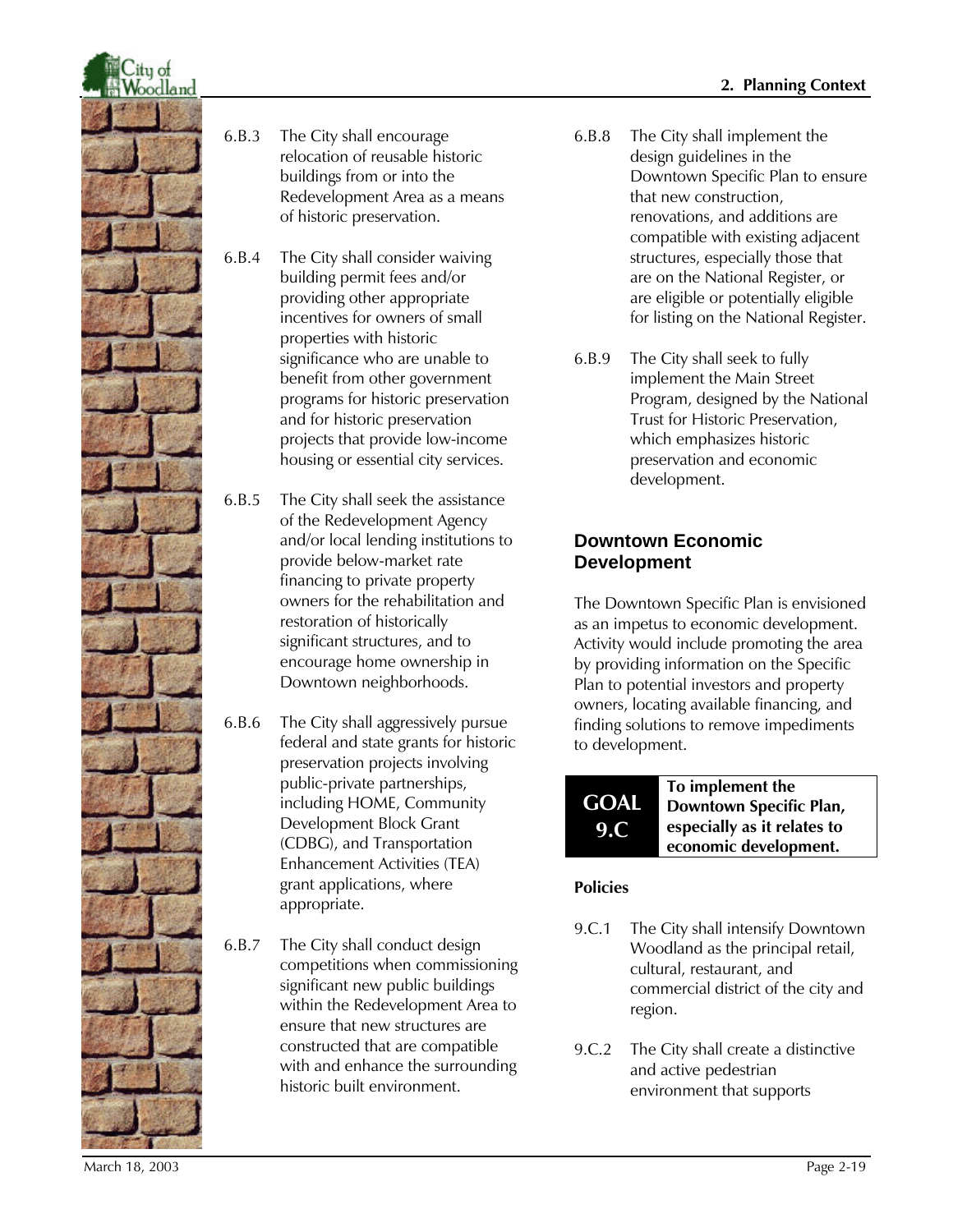

- 6.B.3 The City shall encourage relocation of reusable historic buildings from or into the Redevelopment Area as a means of historic preservation.
- 6.B.4 The City shall consider waiving building permit fees and/or providing other appropriate incentives for owners of small properties with historic significance who are unable to benefit from other government programs for historic preservation and for historic preservation projects that provide low-income housing or essential city services.
- 6.B.5 The City shall seek the assistance of the Redevelopment Agency and/or local lending institutions to provide below-market rate financing to private property owners for the rehabilitation and restoration of historically significant structures, and to encourage home ownership in Downtown neighborhoods.
- 6.B.6 The City shall aggressively pursue federal and state grants for historic preservation projects involving public-private partnerships, including HOME, Community Development Block Grant (CDBG), and Transportation Enhancement Activities (TEA) grant applications, where appropriate.
- 6.B.7 The City shall conduct design competitions when commissioning significant new public buildings within the Redevelopment Area to ensure that new structures are constructed that are compatible with and enhance the surrounding historic built environment.
- 6.B.8 The City shall implement the design guidelines in the Downtown Specific Plan to ensure that new construction, renovations, and additions are compatible with existing adjacent structures, especially those that are on the National Register, or are eligible or potentially eligible for listing on the National Register.
- 6.B.9 The City shall seek to fully implement the Main Street Program, designed by the National Trust for Historic Preservation, which emphasizes historic preservation and economic development.

### **Downtown Economic Development**

The Downtown Specific Plan is envisioned as an impetus to economic development. Activity would include promoting the area by providing information on the Specific Plan to potential investors and property owners, locating available financing, and finding solutions to remove impediments to development.



### **Policies**

- 9.C.1 The City shall intensify Downtown Woodland as the principal retail, cultural, restaurant, and commercial district of the city and region.
- 9.C.2 The City shall create a distinctive and active pedestrian environment that supports

March 18, 2003 Page 2-19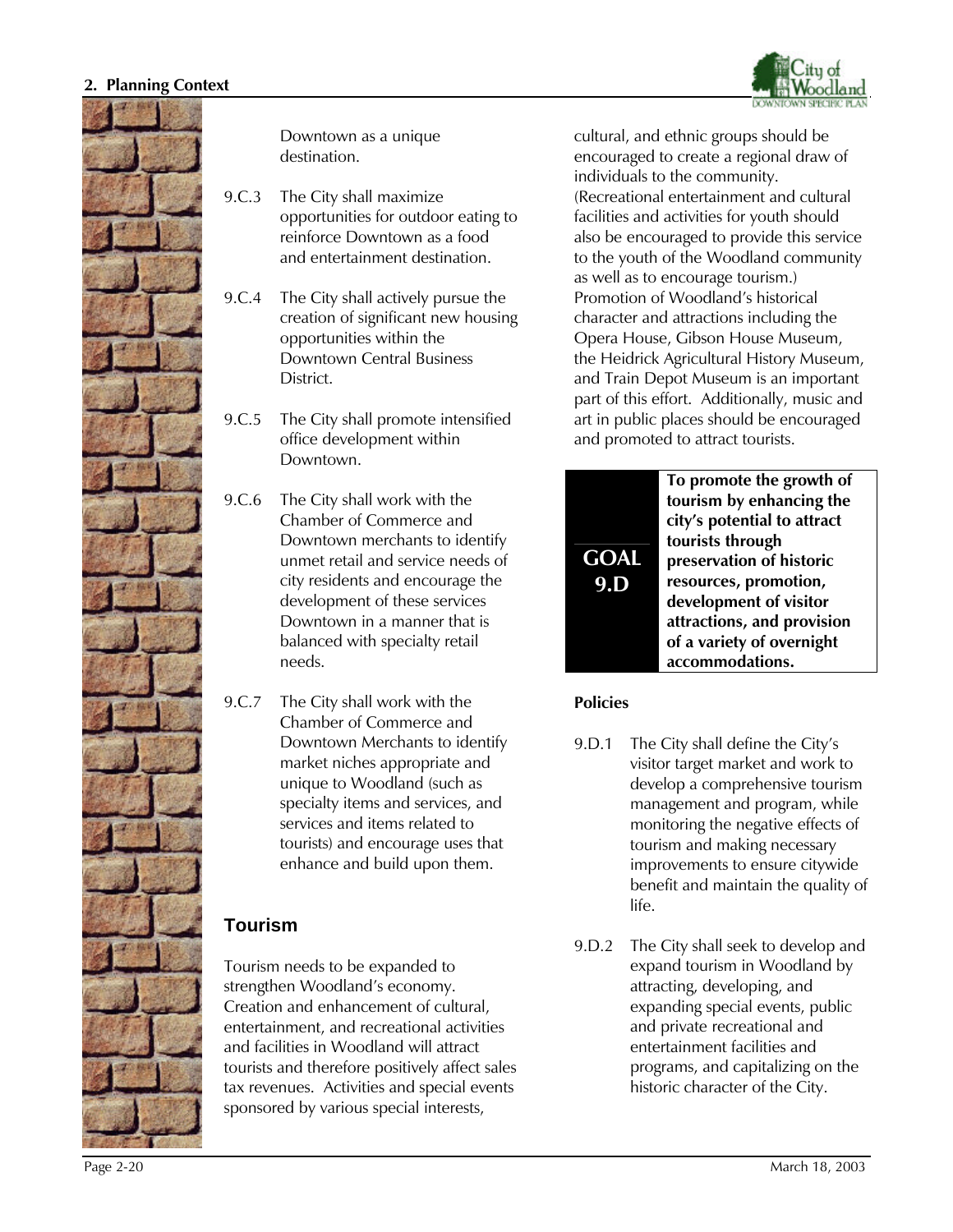



Downtown as a unique destination.

- 9.C.3 The City shall maximize opportunities for outdoor eating to reinforce Downtown as a food and entertainment destination.
- 9.C.4 The City shall actively pursue the creation of significant new housing opportunities within the Downtown Central Business **District**
- 9.C.5 The City shall promote intensified office development within Downtown.
- 9.C.6 The City shall work with the Chamber of Commerce and Downtown merchants to identify unmet retail and service needs of city residents and encourage the development of these services Downtown in a manner that is balanced with specialty retail needs.
- 9.C.7 The City shall work with the Chamber of Commerce and Downtown Merchants to identify market niches appropriate and unique to Woodland (such as specialty items and services, and services and items related to tourists) and encourage uses that enhance and build upon them.

### **Tourism**

Tourism needs to be expanded to strengthen Woodland's economy. Creation and enhancement of cultural, entertainment, and recreational activities and facilities in Woodland will attract tourists and therefore positively affect sales tax revenues. Activities and special events sponsored by various special interests,

cultural, and ethnic groups should be encouraged to create a regional draw of individuals to the community. (Recreational entertainment and cultural facilities and activities for youth should also be encouraged to provide this service to the youth of the Woodland community as well as to encourage tourism.) Promotion of Woodland's historical character and attractions including the Opera House, Gibson House Museum, the Heidrick Agricultural History Museum, and Train Depot Museum is an important part of this effort. Additionally, music and art in public places should be encouraged and promoted to attract tourists.

| <b>GOAL</b><br>9. | To promote the growth of<br>tourism by enhancing the<br>city's potential to attract<br>tourists through<br>preservation of historic<br>resources, promotion,<br>development of visitor<br>attractions, and provision |
|-------------------|----------------------------------------------------------------------------------------------------------------------------------------------------------------------------------------------------------------------|
|                   | of a variety of overnight<br>accommodations.                                                                                                                                                                         |

- 9.D.1 The City shall define the City's visitor target market and work to develop a comprehensive tourism management and program, while monitoring the negative effects of tourism and making necessary improvements to ensure citywide benefit and maintain the quality of life.
- 9.D.2 The City shall seek to develop and expand tourism in Woodland by attracting, developing, and expanding special events, public and private recreational and entertainment facilities and programs, and capitalizing on the historic character of the City.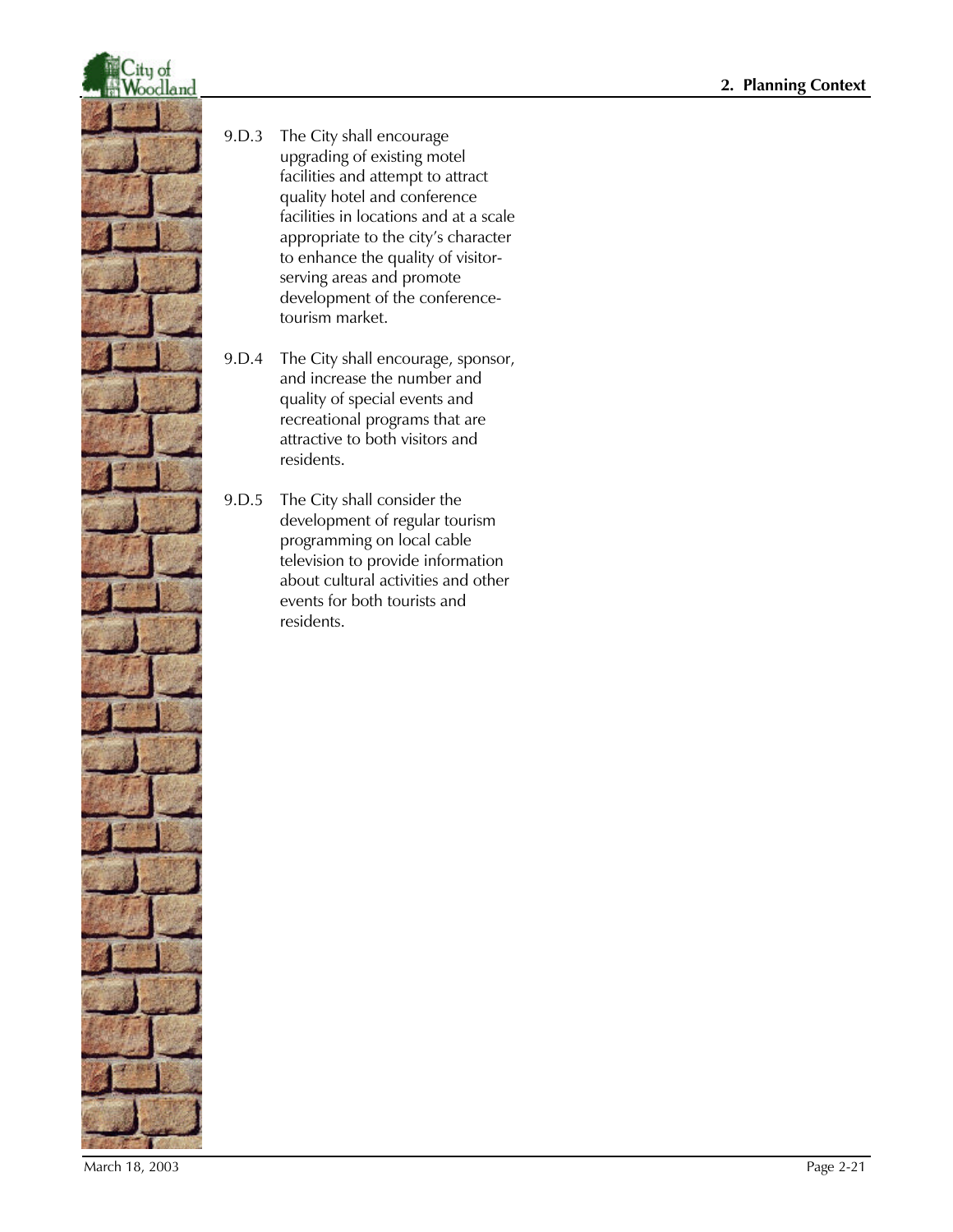

- 9.D.3 The City shall encourage upgrading of existing motel facilities and attempt to attract quality hotel and conference facilities in locations and at a scale appropriate to the city's character to enhance the quality of visitorserving areas and promote development of the conferencetourism market.
- 9.D.4 The City shall encourage, sponsor, and increase the number and quality of special events and recreational programs that are attractive to both visitors and residents.
- 9.D.5 The City shall consider the development of regular tourism programming on local cable television to provide information about cultural activities and other events for both tourists and residents.

March 18, 2003 Page 2-21